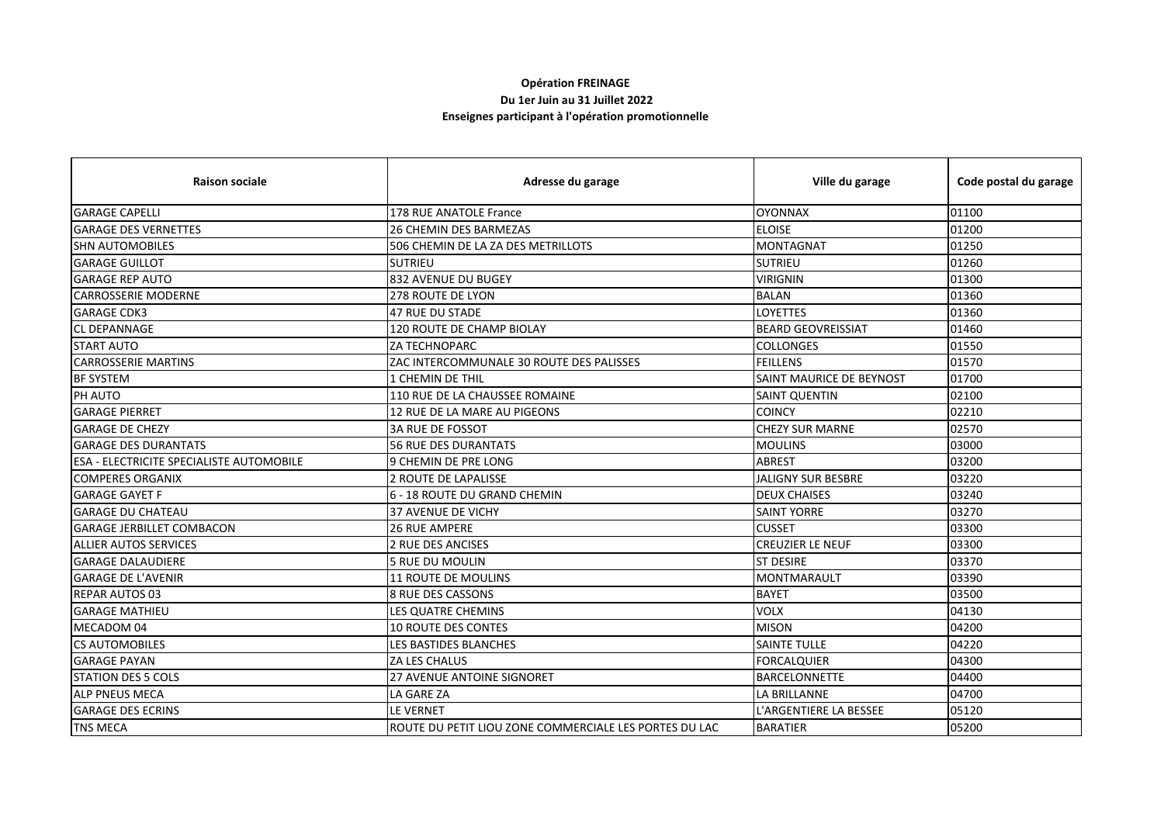## **Opération FREINAGE**

## **Du 1er Juin au 31 Juillet 2022**

## **Enseignes participant à l'opération promotionnelle**

| <b>Raison sociale</b>                           | Adresse du garage                                      | Ville du garage           | Code postal du garage |
|-------------------------------------------------|--------------------------------------------------------|---------------------------|-----------------------|
| <b>GARAGE CAPELLI</b>                           | 178 RUE ANATOLE France                                 | <b>OYONNAX</b>            | 01100                 |
| <b>GARAGE DES VERNETTES</b>                     | <b>26 CHEMIN DES BARMEZAS</b>                          | <b>ELOISE</b>             | 01200                 |
| <b>SHN AUTOMOBILES</b>                          | 506 CHEMIN DE LA ZA DES METRILLOTS                     | <b>MONTAGNAT</b>          | 01250                 |
| <b>GARAGE GUILLOT</b>                           | <b>SUTRIEU</b>                                         | <b>SUTRIEU</b>            | 01260                 |
| <b>GARAGE REP AUTO</b>                          | 832 AVENUE DU BUGEY                                    | <b>VIRIGNIN</b>           | 01300                 |
| <b>CARROSSERIE MODERNE</b>                      | <b>278 ROUTE DE LYON</b>                               | <b>BALAN</b>              | 01360                 |
| <b>GARAGE CDK3</b>                              | 47 RUE DU STADE                                        | <b>LOYETTES</b>           | 01360                 |
| <b>CL DEPANNAGE</b>                             | <b>120 ROUTE DE CHAMP BIOLAY</b>                       | <b>BEARD GEOVREISSIAT</b> | 01460                 |
| <b>START AUTO</b>                               | <b>ZA TECHNOPARC</b>                                   | <b>COLLONGES</b>          | 01550                 |
| <b>CARROSSERIE MARTINS</b>                      | ZAC INTERCOMMUNALE 30 ROUTE DES PALISSES               | <b>FEILLENS</b>           | 01570                 |
| <b>BF SYSTEM</b>                                | <b>1 CHEMIN DE THIL</b>                                | SAINT MAURICE DE BEYNOST  | 01700                 |
| PH AUTO                                         | 110 RUE DE LA CHAUSSEE ROMAINE                         | <b>SAINT QUENTIN</b>      | 02100                 |
| <b>GARAGE PIERRET</b>                           | 12 RUE DE LA MARE AU PIGEONS                           | <b>COINCY</b>             | 02210                 |
| <b>GARAGE DE CHEZY</b>                          | <b>3A RUE DE FOSSOT</b>                                | <b>CHEZY SUR MARNE</b>    | 02570                 |
| <b>GARAGE DES DURANTATS</b>                     | <b>56 RUE DES DURANTATS</b>                            | <b>MOULINS</b>            | 03000                 |
| <b>ESA - ELECTRICITE SPECIALISTE AUTOMOBILE</b> | 9 CHEMIN DE PRE LONG                                   | <b>ABREST</b>             | 03200                 |
| <b>COMPERES ORGANIX</b>                         | 2 ROUTE DE LAPALISSE                                   | <b>JALIGNY SUR BESBRE</b> | 03220                 |
| <b>GARAGE GAYET F</b>                           | 6 - 18 ROUTE DU GRAND CHEMIN                           | <b>DEUX CHAISES</b>       | 03240                 |
| <b>GARAGE DU CHATEAU</b>                        | <b>37 AVENUE DE VICHY</b>                              | <b>SAINT YORRE</b>        | 03270                 |
| <b>GARAGE JERBILLET COMBACON</b>                | <b>26 RUE AMPERE</b>                                   | <b>CUSSET</b>             | 03300                 |
| <b>ALLIER AUTOS SERVICES</b>                    | 2 RUE DES ANCISES                                      | <b>CREUZIER LE NEUF</b>   | 03300                 |
| <b>GARAGE DALAUDIERE</b>                        | <b>5 RUE DU MOULIN</b>                                 | <b>ST DESIRE</b>          | 03370                 |
| <b>GARAGE DE L'AVENIR</b>                       | 11 ROUTE DE MOULINS                                    | MONTMARAULT               | 03390                 |
| <b>REPAR AUTOS 03</b>                           | 8 RUE DES CASSONS                                      | <b>BAYET</b>              | 03500                 |
| <b>GARAGE MATHIEU</b>                           | LES QUATRE CHEMINS                                     | <b>VOLX</b>               | 04130                 |
| MECADOM 04                                      | <b>10 ROUTE DES CONTES</b>                             | <b>MISON</b>              | 04200                 |
| <b>CS AUTOMOBILES</b>                           | <b>LES BASTIDES BLANCHES</b>                           | <b>SAINTE TULLE</b>       | 04220                 |
| <b>GARAGE PAYAN</b>                             | ZA LES CHALUS                                          | <b>FORCALQUIER</b>        | 04300                 |
| <b>STATION DES 5 COLS</b>                       | <b>27 AVENUE ANTOINE SIGNORET</b>                      | <b>BARCELONNETTE</b>      | 04400                 |
| <b>ALP PNEUS MECA</b>                           | <b>LA GARE ZA</b>                                      | LA BRILLANNE              | 04700                 |
| <b>GARAGE DES ECRINS</b>                        | LE VERNET                                              | L'ARGENTIERE LA BESSEE    | 05120                 |
| <b>TNS MECA</b>                                 | ROUTE DU PETIT LIOU ZONE COMMERCIALE LES PORTES DU LAC | <b>BARATIER</b>           | 05200                 |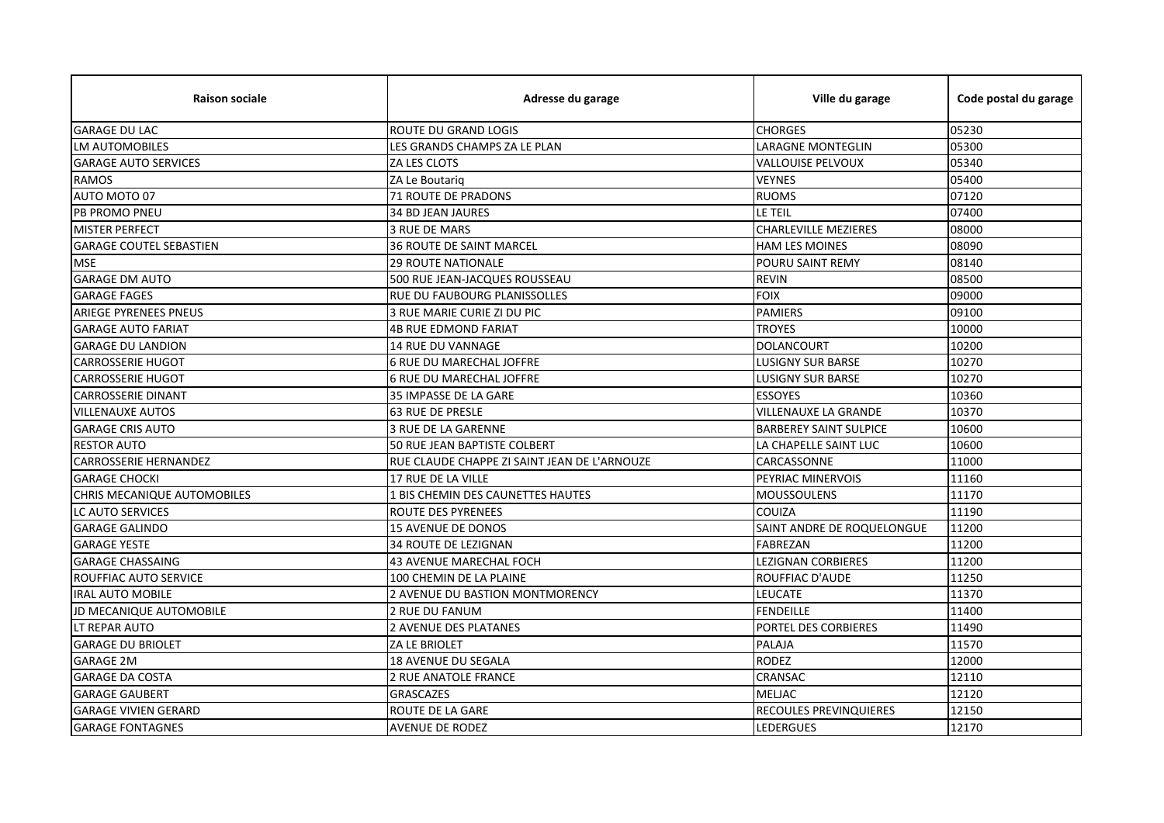| <b>Raison sociale</b>          | Adresse du garage                            | Ville du garage               | Code postal du garage |
|--------------------------------|----------------------------------------------|-------------------------------|-----------------------|
| <b>GARAGE DU LAC</b>           | ROUTE DU GRAND LOGIS                         | <b>CHORGES</b>                | 05230                 |
| <b>LM AUTOMOBILES</b>          | LES GRANDS CHAMPS ZA LE PLAN                 | LARAGNE MONTEGLIN             | 05300                 |
| <b>GARAGE AUTO SERVICES</b>    | ZA LES CLOTS                                 | VALLOUISE PELVOUX             | 05340                 |
| <b>RAMOS</b>                   | ZA Le Boutariq                               | <b>VEYNES</b>                 | 05400                 |
| AUTO MOTO 07                   | <b>71 ROUTE DE PRADONS</b>                   | <b>RUOMS</b>                  | 07120                 |
| <b>PB PROMO PNEU</b>           | <b>34 BD JEAN JAURES</b>                     | <b>LE TEIL</b>                | 07400                 |
| <b>MISTER PERFECT</b>          | <b>3 RUE DE MARS</b>                         | <b>CHARLEVILLE MEZIERES</b>   | 08000                 |
| <b>GARAGE COUTEL SEBASTIEN</b> | <b>36 ROUTE DE SAINT MARCEL</b>              | <b>HAM LES MOINES</b>         | 08090                 |
| <b>MSE</b>                     | <b>29 ROUTE NATIONALE</b>                    | POURU SAINT REMY              | 08140                 |
| <b>GARAGE DM AUTO</b>          | 500 RUE JEAN-JACQUES ROUSSEAU                | <b>REVIN</b>                  | 08500                 |
| <b>GARAGE FAGES</b>            | RUE DU FAUBOURG PLANISSOLLES                 | <b>FOIX</b>                   | 09000                 |
| <b>ARIEGE PYRENEES PNEUS</b>   | 3 RUE MARIE CURIE ZI DU PIC                  | <b>PAMIERS</b>                | 09100                 |
| <b>GARAGE AUTO FARIAT</b>      | <b>4B RUE EDMOND FARIAT</b>                  | <b>TROYES</b>                 | 10000                 |
| <b>GARAGE DU LANDION</b>       | 14 RUE DU VANNAGE                            | <b>DOLANCOURT</b>             | 10200                 |
| <b>CARROSSERIE HUGOT</b>       | <b>6 RUE DU MARECHAL JOFFRE</b>              | <b>LUSIGNY SUR BARSE</b>      | 10270                 |
| <b>CARROSSERIE HUGOT</b>       | 6 RUE DU MARECHAL JOFFRE                     | <b>LUSIGNY SUR BARSE</b>      | 10270                 |
| <b>CARROSSERIE DINANT</b>      | 35 IMPASSE DE LA GARE                        | <b>ESSOYES</b>                | 10360                 |
| <b>VILLENAUXE AUTOS</b>        | <b>63 RUE DE PRESLE</b>                      | <b>VILLENAUXE LA GRANDE</b>   | 10370                 |
| <b>GARAGE CRIS AUTO</b>        | 3 RUE DE LA GARENNE                          | <b>BARBEREY SAINT SULPICE</b> | 10600                 |
| <b>RESTOR AUTO</b>             | 50 RUE JEAN BAPTISTE COLBERT                 | LA CHAPELLE SAINT LUC         | 10600                 |
| <b>CARROSSERIE HERNANDEZ</b>   | RUE CLAUDE CHAPPE ZI SAINT JEAN DE L'ARNOUZE | CARCASSONNE                   | 11000                 |
| <b>GARAGE CHOCKI</b>           | 17 RUE DE LA VILLE                           | PEYRIAC MINERVOIS             | 11160                 |
| CHRIS MECANIQUE AUTOMOBILES    | 1 BIS CHEMIN DES CAUNETTES HAUTES            | <b>MOUSSOULENS</b>            | 11170                 |
| LC AUTO SERVICES               | <b>ROUTE DES PYRENEES</b>                    | COUIZA                        | 11190                 |
| <b>GARAGE GALINDO</b>          | <b>15 AVENUE DE DONOS</b>                    | SAINT ANDRE DE ROQUELONGUE    | 11200                 |
| <b>GARAGE YESTE</b>            | <b>34 ROUTE DE LEZIGNAN</b>                  | <b>FABREZAN</b>               | 11200                 |
| <b>GARAGE CHASSAING</b>        | 43 AVENUE MARECHAL FOCH                      | <b>LEZIGNAN CORBIERES</b>     | 11200                 |
| <b>ROUFFIAC AUTO SERVICE</b>   | 100 CHEMIN DE LA PLAINE                      | ROUFFIAC D'AUDE               | 11250                 |
| <b>IRAL AUTO MOBILE</b>        | 2 AVENUE DU BASTION MONTMORENCY              | LEUCATE                       | 11370                 |
| JD MECANIQUE AUTOMOBILE        | <b>2 RUE DU FANUM</b>                        | <b>FENDEILLE</b>              | 11400                 |
| LT REPAR AUTO                  | 2 AVENUE DES PLATANES                        | PORTEL DES CORBIERES          | 11490                 |
| <b>GARAGE DU BRIOLET</b>       | ZA LE BRIOLET                                | PALAJA                        | 11570                 |
| <b>GARAGE 2M</b>               | 18 AVENUE DU SEGALA                          | <b>RODEZ</b>                  | 12000                 |
| <b>GARAGE DA COSTA</b>         | <b>2 RUE ANATOLE FRANCE</b>                  | CRANSAC                       | 12110                 |
| <b>GARAGE GAUBERT</b>          | <b>GRASCAZES</b>                             | <b>MELJAC</b>                 | 12120                 |
| <b>GARAGE VIVIEN GERARD</b>    | ROUTE DE LA GARE                             | RECOULES PREVINQUIERES        | 12150                 |
| <b>GARAGE FONTAGNES</b>        | <b>AVENUE DE RODEZ</b>                       | <b>LEDERGUES</b>              | 12170                 |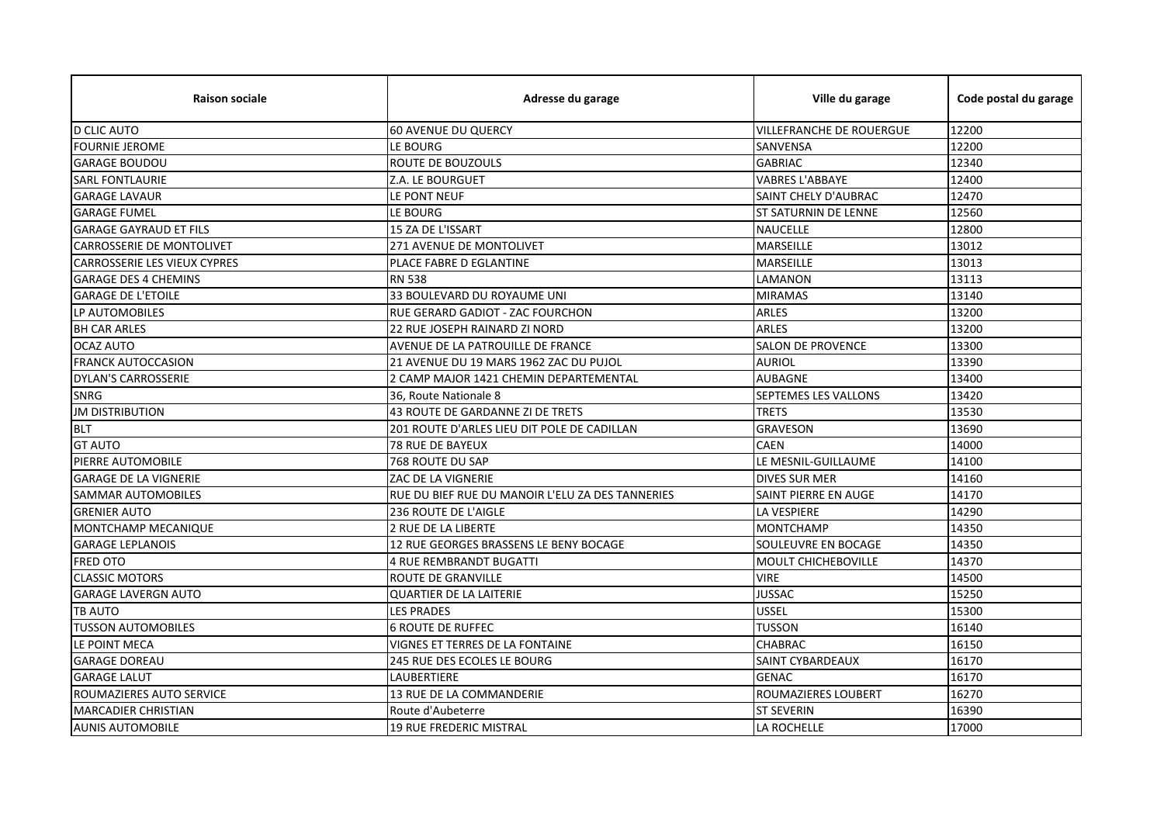| <b>Raison sociale</b>               | Adresse du garage                                | Ville du garage             | Code postal du garage |
|-------------------------------------|--------------------------------------------------|-----------------------------|-----------------------|
| <b>D CLIC AUTO</b>                  | <b>60 AVENUE DU QUERCY</b>                       | VILLEFRANCHE DE ROUERGUE    | 12200                 |
| <b>FOURNIE JEROME</b>               | LE BOURG                                         | SANVENSA                    | 12200                 |
| <b>GARAGE BOUDOU</b>                | ROUTE DE BOUZOULS                                | <b>GABRIAC</b>              | 12340                 |
| <b>SARL FONTLAURIE</b>              | Z.A. LE BOURGUET                                 | <b>VABRES L'ABBAYE</b>      | 12400                 |
| <b>GARAGE LAVAUR</b>                | LE PONT NEUF                                     | SAINT CHELY D'AUBRAC        | 12470                 |
| <b>GARAGE FUMEL</b>                 | LE BOURG                                         | <b>ST SATURNIN DE LENNE</b> | 12560                 |
| <b>GARAGE GAYRAUD ET FILS</b>       | 15 ZA DE L'ISSART                                | <b>NAUCELLE</b>             | 12800                 |
| CARROSSERIE DE MONTOLIVET           | 271 AVENUE DE MONTOLIVET                         | <b>MARSEILLE</b>            | 13012                 |
| <b>CARROSSERIE LES VIEUX CYPRES</b> | PLACE FABRE D EGLANTINE                          | MARSEILLE                   | 13013                 |
| <b>GARAGE DES 4 CHEMINS</b>         | <b>RN 538</b>                                    | LAMANON                     | 13113                 |
| <b>GARAGE DE L'ETOILE</b>           | 33 BOULEVARD DU ROYAUME UNI                      | <b>MIRAMAS</b>              | 13140                 |
| LP AUTOMOBILES                      | RUE GERARD GADIOT - ZAC FOURCHON                 | <b>ARLES</b>                | 13200                 |
| <b>BH CAR ARLES</b>                 | 22 RUE JOSEPH RAINARD ZI NORD                    | <b>ARLES</b>                | 13200                 |
| <b>OCAZ AUTO</b>                    | AVENUE DE LA PATROUILLE DE FRANCE                | <b>SALON DE PROVENCE</b>    | 13300                 |
| <b>FRANCK AUTOCCASION</b>           | 21 AVENUE DU 19 MARS 1962 ZAC DU PUJOL           | <b>AURIOL</b>               | 13390                 |
| <b>DYLAN'S CARROSSERIE</b>          | 2 CAMP MAJOR 1421 CHEMIN DEPARTEMENTAL           | <b>AUBAGNE</b>              | 13400                 |
| <b>SNRG</b>                         | 36. Route Nationale 8                            | SEPTEMES LES VALLONS        | 13420                 |
| <b>JM DISTRIBUTION</b>              | 43 ROUTE DE GARDANNE ZI DE TRETS                 | <b>TRETS</b>                | 13530                 |
| <b>BLT</b>                          | 201 ROUTE D'ARLES LIEU DIT POLE DE CADILLAN      | <b>GRAVESON</b>             | 13690                 |
| <b>GT AUTO</b>                      | 78 RUE DE BAYEUX                                 | <b>CAEN</b>                 | 14000                 |
| PIERRE AUTOMOBILE                   | 768 ROUTE DU SAP                                 | LE MESNIL-GUILLAUME         | 14100                 |
| <b>GARAGE DE LA VIGNERIE</b>        | ZAC DE LA VIGNERIE                               | <b>DIVES SUR MER</b>        | 14160                 |
| SAMMAR AUTOMOBILES                  | RUE DU BIEF RUE DU MANOIR L'ELU ZA DES TANNERIES | SAINT PIERRE EN AUGE        | 14170                 |
| <b>GRENIER AUTO</b>                 | 236 ROUTE DE L'AIGLE                             | <b>LA VESPIERE</b>          | 14290                 |
| MONTCHAMP MECANIQUE                 | 2 RUE DE LA LIBERTE                              | <b>MONTCHAMP</b>            | 14350                 |
| <b>GARAGE LEPLANOIS</b>             | 12 RUE GEORGES BRASSENS LE BENY BOCAGE           | SOULEUVRE EN BOCAGE         | 14350                 |
| <b>FRED OTO</b>                     | <b>4 RUE REMBRANDT BUGATTI</b>                   | <b>MOULT CHICHEBOVILLE</b>  | 14370                 |
| <b>CLASSIC MOTORS</b>               | ROUTE DE GRANVILLE                               | <b>VIRE</b>                 | 14500                 |
| <b>GARAGE LAVERGN AUTO</b>          | <b>QUARTIER DE LA LAITERIE</b>                   | <b>JUSSAC</b>               | 15250                 |
| <b>TB AUTO</b>                      | <b>LES PRADES</b>                                | <b>USSEL</b>                | 15300                 |
| <b>TUSSON AUTOMOBILES</b>           | <b>6 ROUTE DE RUFFEC</b>                         | <b>TUSSON</b>               | 16140                 |
| LE POINT MECA                       | VIGNES ET TERRES DE LA FONTAINE                  | <b>CHABRAC</b>              | 16150                 |
| <b>GARAGE DOREAU</b>                | 245 RUE DES ECOLES LE BOURG                      | <b>SAINT CYBARDEAUX</b>     | 16170                 |
| <b>GARAGE LALUT</b>                 | LAUBERTIERE                                      | <b>GENAC</b>                | 16170                 |
| ROUMAZIERES AUTO SERVICE            | <b>13 RUE DE LA COMMANDERIE</b>                  | ROUMAZIERES LOUBERT         | 16270                 |
| <b>MARCADIER CHRISTIAN</b>          | Route d'Aubeterre                                | <b>ST SEVERIN</b>           | 16390                 |
| <b>AUNIS AUTOMOBILE</b>             | <b>19 RUE FREDERIC MISTRAL</b>                   | LA ROCHELLE                 | 17000                 |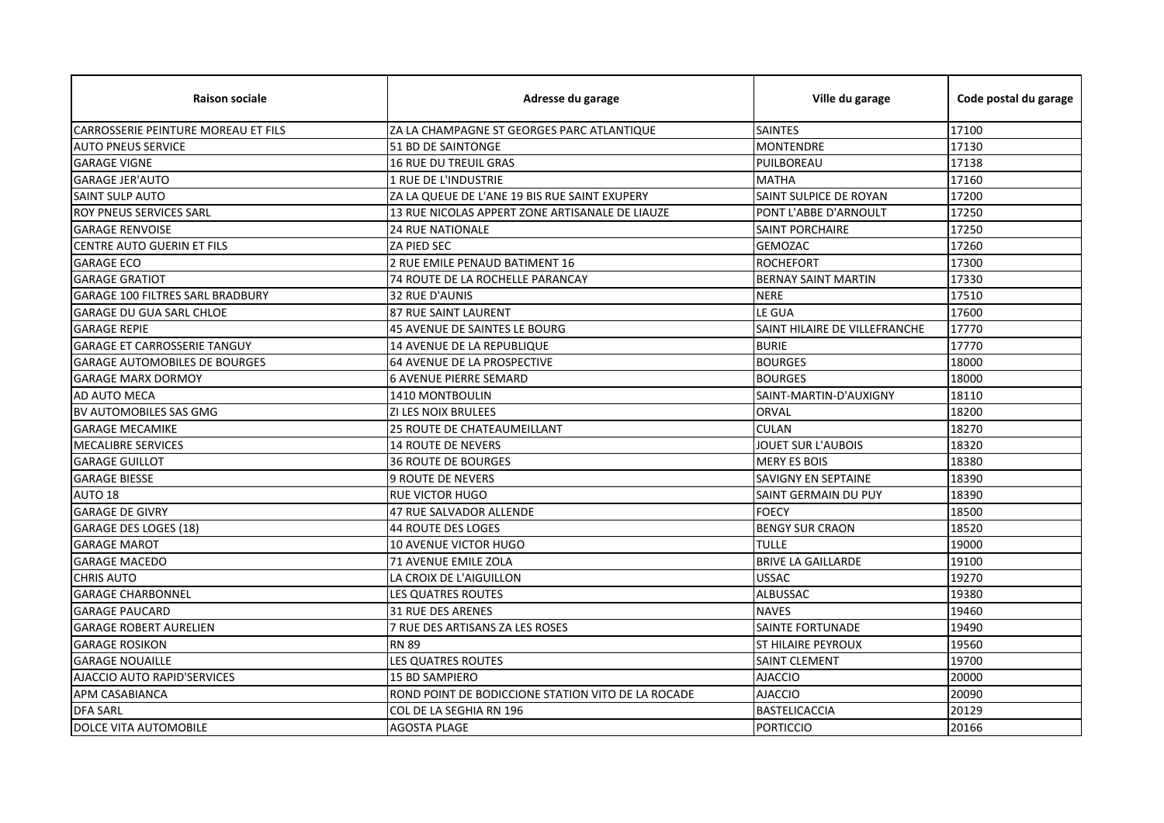| <b>Raison sociale</b>                      | Adresse du garage                                  | Ville du garage               | Code postal du garage |
|--------------------------------------------|----------------------------------------------------|-------------------------------|-----------------------|
| <b>CARROSSERIE PEINTURE MOREAU ET FILS</b> | ZA LA CHAMPAGNE ST GEORGES PARC ATLANTIQUE         | <b>SAINTES</b>                | 17100                 |
| <b>AUTO PNEUS SERVICE</b>                  | 51 BD DE SAINTONGE                                 | <b>MONTENDRE</b>              | 17130                 |
| <b>GARAGE VIGNE</b>                        | 16 RUE DU TREUIL GRAS                              | PUILBOREAU                    | 17138                 |
| <b>GARAGE JER'AUTO</b>                     | 1 RUE DE L'INDUSTRIE                               | <b>MATHA</b>                  | 17160                 |
| <b>SAINT SULP AUTO</b>                     | ZA LA QUEUE DE L'ANE 19 BIS RUE SAINT EXUPERY      | SAINT SULPICE DE ROYAN        | 17200                 |
| ROY PNEUS SERVICES SARL                    | 13 RUE NICOLAS APPERT ZONE ARTISANALE DE LIAUZE    | PONT L'ABBE D'ARNOULT         | 17250                 |
| <b>GARAGE RENVOISE</b>                     | <b>24 RUE NATIONALE</b>                            | <b>SAINT PORCHAIRE</b>        | 17250                 |
| CENTRE AUTO GUERIN ET FILS                 | <b>ZA PIED SEC</b>                                 | <b>GEMOZAC</b>                | 17260                 |
| <b>GARAGE ECO</b>                          | 2 RUE EMILE PENAUD BATIMENT 16                     | <b>ROCHEFORT</b>              | 17300                 |
| <b>GARAGE GRATIOT</b>                      | 74 ROUTE DE LA ROCHELLE PARANCAY                   | <b>BERNAY SAINT MARTIN</b>    | 17330                 |
| <b>GARAGE 100 FILTRES SARL BRADBURY</b>    | 32 RUE D'AUNIS                                     | <b>NERE</b>                   | 17510                 |
| <b>GARAGE DU GUA SARL CHLOE</b>            | <b>87 RUE SAINT LAURENT</b>                        | LE GUA                        | 17600                 |
| <b>GARAGE REPIE</b>                        | <b>45 AVENUE DE SAINTES LE BOURG</b>               | SAINT HILAIRE DE VILLEFRANCHE | 17770                 |
| <b>GARAGE ET CARROSSERIE TANGUY</b>        | 14 AVENUE DE LA REPUBLIQUE                         | <b>BURIE</b>                  | 17770                 |
| <b>GARAGE AUTOMOBILES DE BOURGES</b>       | <b>64 AVENUE DE LA PROSPECTIVE</b>                 | <b>BOURGES</b>                | 18000                 |
| <b>GARAGE MARX DORMOY</b>                  | <b>6 AVENUE PIERRE SEMARD</b>                      | <b>BOURGES</b>                | 18000                 |
| AD AUTO MECA                               | 1410 MONTBOULIN                                    | SAINT-MARTIN-D'AUXIGNY        | 18110                 |
| BV AUTOMOBILES SAS GMG                     | ZI LES NOIX BRULEES                                | <b>ORVAL</b>                  | 18200                 |
| <b>GARAGE MECAMIKE</b>                     | 25 ROUTE DE CHATEAUMEILLANT                        | <b>CULAN</b>                  | 18270                 |
| <b>MECALIBRE SERVICES</b>                  | <b>14 ROUTE DE NEVERS</b>                          | JOUET SUR L'AUBOIS            | 18320                 |
| <b>GARAGE GUILLOT</b>                      | <b>36 ROUTE DE BOURGES</b>                         | <b>MERY ES BOIS</b>           | 18380                 |
| <b>GARAGE BIESSE</b>                       | <b>9 ROUTE DE NEVERS</b>                           | <b>SAVIGNY EN SEPTAINE</b>    | 18390                 |
| AUTO 18                                    | RUE VICTOR HUGO                                    | SAINT GERMAIN DU PUY          | 18390                 |
| <b>GARAGE DE GIVRY</b>                     | <b>47 RUE SALVADOR ALLENDE</b>                     | <b>FOECY</b>                  | 18500                 |
| <b>GARAGE DES LOGES (18)</b>               | <b>44 ROUTE DES LOGES</b>                          | <b>BENGY SUR CRAON</b>        | 18520                 |
| <b>GARAGE MAROT</b>                        | <b>10 AVENUE VICTOR HUGO</b>                       | <b>TULLE</b>                  | 19000                 |
| <b>GARAGE MACEDO</b>                       | 71 AVENUE EMILE ZOLA                               | <b>BRIVE LA GAILLARDE</b>     | 19100                 |
| <b>CHRIS AUTO</b>                          | LA CROIX DE L'AIGUILLON                            | <b>USSAC</b>                  | 19270                 |
| <b>GARAGE CHARBONNEL</b>                   | LES QUATRES ROUTES                                 | <b>ALBUSSAC</b>               | 19380                 |
| <b>GARAGE PAUCARD</b>                      | <b>31 RUE DES ARENES</b>                           | <b>NAVES</b>                  | 19460                 |
| <b>GARAGE ROBERT AURELIEN</b>              | 7 RUE DES ARTISANS ZA LES ROSES                    | <b>SAINTE FORTUNADE</b>       | 19490                 |
| <b>GARAGE ROSIKON</b>                      | <b>RN 89</b>                                       | <b>ST HILAIRE PEYROUX</b>     | 19560                 |
| <b>GARAGE NOUAILLE</b>                     | LES QUATRES ROUTES                                 | <b>SAINT CLEMENT</b>          | 19700                 |
| AJACCIO AUTO RAPID'SERVICES                | <b>15 BD SAMPIERO</b>                              | <b>AJACCIO</b>                | 20000                 |
| APM CASABIANCA                             | ROND POINT DE BODICCIONE STATION VITO DE LA ROCADE | <b>AJACCIO</b>                | 20090                 |
| <b>DFA SARL</b>                            | COL DE LA SEGHIA RN 196                            | <b>BASTELICACCIA</b>          | 20129                 |
| DOLCE VITA AUTOMOBILE                      | <b>AGOSTA PLAGE</b>                                | <b>PORTICCIO</b>              | 20166                 |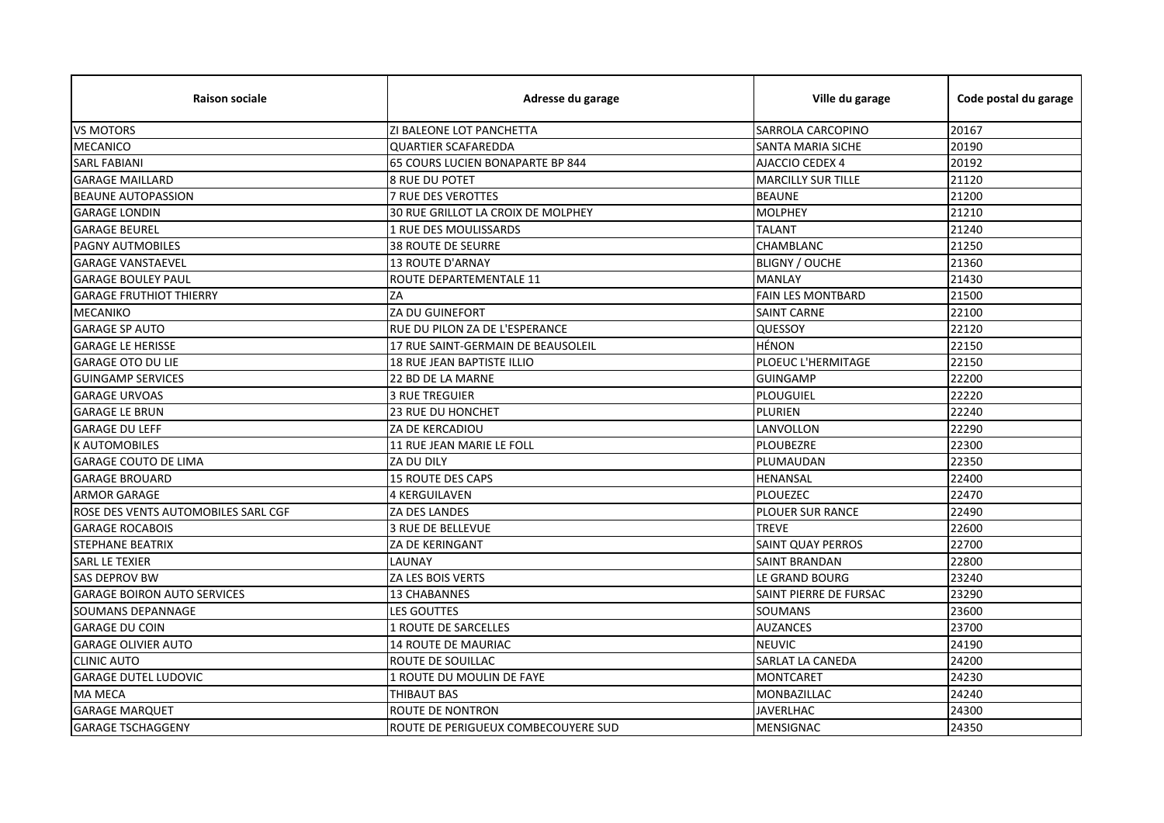| <b>Raison sociale</b>               | Adresse du garage                   | Ville du garage           | Code postal du garage |
|-------------------------------------|-------------------------------------|---------------------------|-----------------------|
| <b>VS MOTORS</b>                    | ZI BALEONE LOT PANCHETTA            | SARROLA CARCOPINO         | 20167                 |
| <b>MECANICO</b>                     | <b>QUARTIER SCAFAREDDA</b>          | SANTA MARIA SICHE         | 20190                 |
| <b>SARL FABIANI</b>                 | 65 COURS LUCIEN BONAPARTE BP 844    | AJACCIO CEDEX 4           | 20192                 |
| <b>GARAGE MAILLARD</b>              | <b>8 RUE DU POTET</b>               | <b>MARCILLY SUR TILLE</b> | 21120                 |
| <b>BEAUNE AUTOPASSION</b>           | <b>7 RUE DES VEROTTES</b>           | <b>BEAUNE</b>             | 21200                 |
| <b>GARAGE LONDIN</b>                | 30 RUE GRILLOT LA CROIX DE MOLPHEY  | <b>MOLPHEY</b>            | 21210                 |
| <b>GARAGE BEUREL</b>                | 1 RUE DES MOULISSARDS               | <b>TALANT</b>             | 21240                 |
| PAGNY AUTMOBILES                    | <b>38 ROUTE DE SEURRE</b>           | CHAMBLANC                 | 21250                 |
| <b>GARAGE VANSTAEVEL</b>            | <b>13 ROUTE D'ARNAY</b>             | <b>BLIGNY / OUCHE</b>     | 21360                 |
| <b>GARAGE BOULEY PAUL</b>           | ROUTE DEPARTEMENTALE 11             | <b>MANLAY</b>             | 21430                 |
| <b>GARAGE FRUTHIOT THIERRY</b>      | ZA                                  | <b>FAIN LES MONTBARD</b>  | 21500                 |
| <b>MECANIKO</b>                     | ZA DU GUINEFORT                     | <b>SAINT CARNE</b>        | 22100                 |
| <b>GARAGE SP AUTO</b>               | RUE DU PILON ZA DE L'ESPERANCE      | QUESSOY                   | 22120                 |
| <b>GARAGE LE HERISSE</b>            | 17 RUE SAINT-GERMAIN DE BEAUSOLEIL  | <b>HÉNON</b>              | 22150                 |
| <b>GARAGE OTO DU LIE</b>            | 18 RUE JEAN BAPTISTE ILLIO          | PLOEUC L'HERMITAGE        | 22150                 |
| <b>GUINGAMP SERVICES</b>            | 22 BD DE LA MARNE                   | <b>GUINGAMP</b>           | 22200                 |
| <b>GARAGE URVOAS</b>                | <b>3 RUE TREGUIER</b>               | <b>PLOUGUIEL</b>          | 22220                 |
| <b>GARAGE LE BRUN</b>               | <b>23 RUE DU HONCHET</b>            | PLURIEN                   | 22240                 |
| <b>GARAGE DU LEFF</b>               | ZA DE KERCADIOU                     | LANVOLLON                 | 22290                 |
| <b>K AUTOMOBILES</b>                | 11 RUE JEAN MARIE LE FOLL           | PLOUBEZRE                 | 22300                 |
| <b>GARAGE COUTO DE LIMA</b>         | ZA DU DILY                          | PLUMAUDAN                 | 22350                 |
| <b>GARAGE BROUARD</b>               | <b>15 ROUTE DES CAPS</b>            | <b>HENANSAL</b>           | 22400                 |
| <b>ARMOR GARAGE</b>                 | <b>4 KERGUILAVEN</b>                | <b>PLOUEZEC</b>           | 22470                 |
| ROSE DES VENTS AUTOMOBILES SARL CGF | <b>ZA DES LANDES</b>                | <b>PLOUER SUR RANCE</b>   | 22490                 |
| <b>GARAGE ROCABOIS</b>              | 3 RUE DE BELLEVUE                   | <b>TREVE</b>              | 22600                 |
| <b>STEPHANE BEATRIX</b>             | <b>ZA DE KERINGANT</b>              | <b>SAINT QUAY PERROS</b>  | 22700                 |
| <b>SARL LE TEXIER</b>               | LAUNAY                              | SAINT BRANDAN             | 22800                 |
| <b>SAS DEPROV BW</b>                | ZA LES BOIS VERTS                   | LE GRAND BOURG            | 23240                 |
| <b>GARAGE BOIRON AUTO SERVICES</b>  | 13 CHABANNES                        | SAINT PIERRE DE FURSAC    | 23290                 |
| <b>SOUMANS DEPANNAGE</b>            | <b>LES GOUTTES</b>                  | <b>SOUMANS</b>            | 23600                 |
| <b>GARAGE DU COIN</b>               | 1 ROUTE DE SARCELLES                | <b>AUZANCES</b>           | 23700                 |
| <b>GARAGE OLIVIER AUTO</b>          | <b>14 ROUTE DE MAURIAC</b>          | <b>NEUVIC</b>             | 24190                 |
| <b>CLINIC AUTO</b>                  | ROUTE DE SOUILLAC                   | SARLAT LA CANEDA          | 24200                 |
| <b>GARAGE DUTEL LUDOVIC</b>         | 1 ROUTE DU MOULIN DE FAYE           | <b>MONTCARET</b>          | 24230                 |
| <b>MA MECA</b>                      | <b>THIBAUT BAS</b>                  | MONBAZILLAC               | 24240                 |
| <b>GARAGE MARQUET</b>               | ROUTE DE NONTRON                    | <b>JAVERLHAC</b>          | 24300                 |
| <b>GARAGE TSCHAGGENY</b>            | ROUTE DE PERIGUEUX COMBECOUYERE SUD | <b>MENSIGNAC</b>          | 24350                 |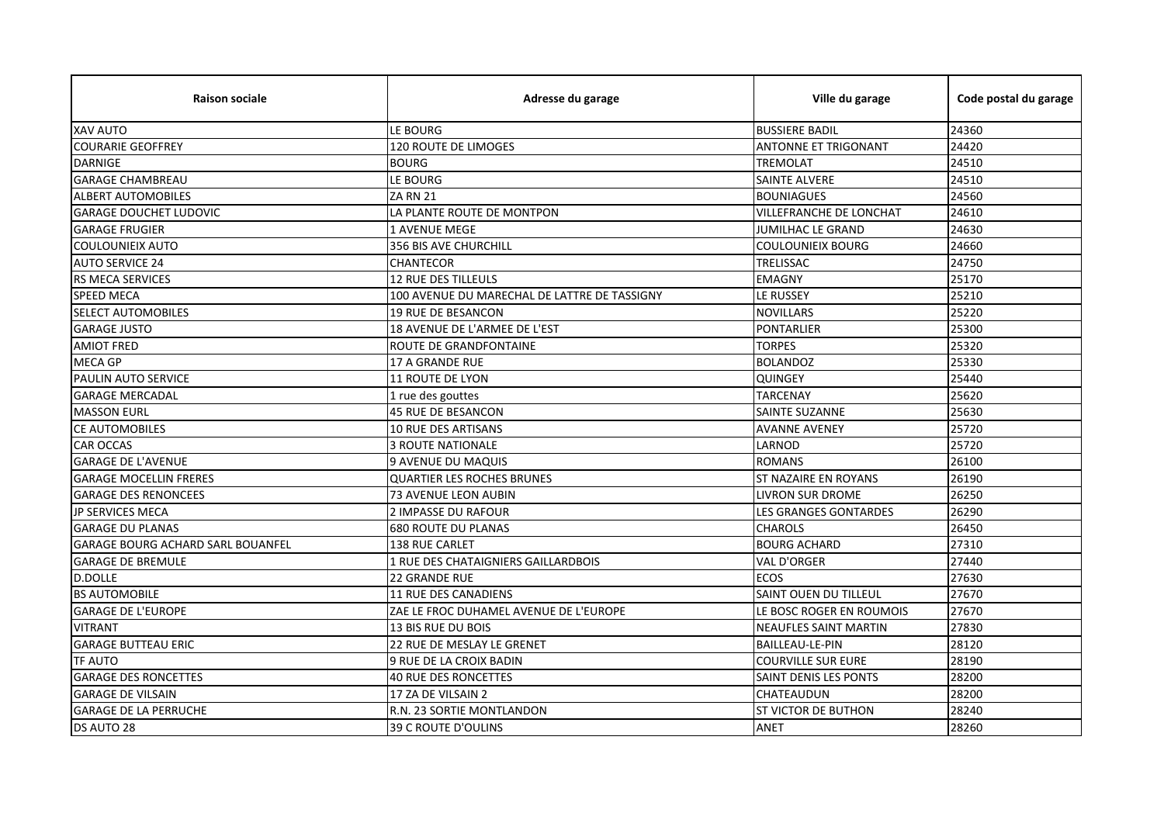| <b>Raison sociale</b>                    | Adresse du garage                            | Ville du garage                | Code postal du garage |
|------------------------------------------|----------------------------------------------|--------------------------------|-----------------------|
| <b>XAV AUTO</b>                          | LE BOURG                                     | <b>BUSSIERE BADIL</b>          | 24360                 |
| <b>COURARIE GEOFFREY</b>                 | <b>120 ROUTE DE LIMOGES</b>                  | <b>ANTONNE ET TRIGONANT</b>    | 24420                 |
| <b>DARNIGE</b>                           | <b>BOURG</b>                                 | <b>TREMOLAT</b>                | 24510                 |
| <b>GARAGE CHAMBREAU</b>                  | LE BOURG                                     | <b>SAINTE ALVERE</b>           | 24510                 |
| <b>ALBERT AUTOMOBILES</b>                | ZA RN 21                                     | <b>BOUNIAGUES</b>              | 24560                 |
| <b>GARAGE DOUCHET LUDOVIC</b>            | LA PLANTE ROUTE DE MONTPON                   | <b>VILLEFRANCHE DE LONCHAT</b> | 24610                 |
| <b>GARAGE FRUGIER</b>                    | <b>1 AVENUE MEGE</b>                         | JUMILHAC LE GRAND              | 24630                 |
| <b>COULOUNIEIX AUTO</b>                  | 356 BIS AVE CHURCHILL                        | <b>COULOUNIEIX BOURG</b>       | 24660                 |
| <b>AUTO SERVICE 24</b>                   | CHANTECOR                                    | TRELISSAC                      | 24750                 |
| RS MECA SERVICES                         | <b>12 RUE DES TILLEULS</b>                   | <b>EMAGNY</b>                  | 25170                 |
| <b>SPEED MECA</b>                        | 100 AVENUE DU MARECHAL DE LATTRE DE TASSIGNY | LE RUSSEY                      | 25210                 |
| <b>SELECT AUTOMOBILES</b>                | 19 RUE DE BESANCON                           | <b>NOVILLARS</b>               | 25220                 |
| <b>GARAGE JUSTO</b>                      | 18 AVENUE DE L'ARMEE DE L'EST                | <b>PONTARLIER</b>              | 25300                 |
| <b>AMIOT FRED</b>                        | ROUTE DE GRANDFONTAINE                       | <b>TORPES</b>                  | 25320                 |
| <b>MECA GP</b>                           | <b>17 A GRANDE RUE</b>                       | <b>BOLANDOZ</b>                | 25330                 |
| PAULIN AUTO SERVICE                      | 11 ROUTE DE LYON                             | <b>QUINGEY</b>                 | 25440                 |
| <b>GARAGE MERCADAL</b>                   | 1 rue des gouttes                            | <b>TARCENAY</b>                | 25620                 |
| <b>MASSON EURL</b>                       | 45 RUE DE BESANCON                           | SAINTE SUZANNE                 | 25630                 |
| <b>CE AUTOMOBILES</b>                    | <b>10 RUE DES ARTISANS</b>                   | <b>AVANNE AVENEY</b>           | 25720                 |
| <b>CAR OCCAS</b>                         | <b>3 ROUTE NATIONALE</b>                     | LARNOD                         | 25720                 |
| <b>GARAGE DE L'AVENUE</b>                | 9 AVENUE DU MAQUIS                           | <b>ROMANS</b>                  | 26100                 |
| <b>GARAGE MOCELLIN FRERES</b>            | <b>QUARTIER LES ROCHES BRUNES</b>            | <b>ST NAZAIRE EN ROYANS</b>    | 26190                 |
| <b>GARAGE DES RENONCEES</b>              | 73 AVENUE LEON AUBIN                         | <b>LIVRON SUR DROME</b>        | 26250                 |
| <b>JP SERVICES MECA</b>                  | <b>2 IMPASSE DU RAFOUR</b>                   | <b>LES GRANGES GONTARDES</b>   | 26290                 |
| <b>GARAGE DU PLANAS</b>                  | <b>680 ROUTE DU PLANAS</b>                   | <b>CHAROLS</b>                 | 26450                 |
| <b>GARAGE BOURG ACHARD SARL BOUANFEL</b> | <b>138 RUE CARLET</b>                        | <b>BOURG ACHARD</b>            | 27310                 |
| <b>GARAGE DE BREMULE</b>                 | 1 RUE DES CHATAIGNIERS GAILLARDBOIS          | <b>VAL D'ORGER</b>             | 27440                 |
| <b>D.DOLLE</b>                           | <b>22 GRANDE RUE</b>                         | <b>ECOS</b>                    | 27630                 |
| <b>BS AUTOMOBILE</b>                     | 11 RUE DES CANADIENS                         | SAINT OUEN DU TILLEUL          | 27670                 |
| <b>GARAGE DE L'EUROPE</b>                | ZAE LE FROC DUHAMEL AVENUE DE L'EUROPE       | LE BOSC ROGER EN ROUMOIS       | 27670                 |
| <b>VITRANT</b>                           | 13 BIS RUE DU BOIS                           | <b>NEAUFLES SAINT MARTIN</b>   | 27830                 |
| <b>GARAGE BUTTEAU ERIC</b>               | 22 RUE DE MESLAY LE GRENET                   | <b>BAILLEAU-LE-PIN</b>         | 28120                 |
| <b>TF AUTO</b>                           | 9 RUE DE LA CROIX BADIN                      | <b>COURVILLE SUR EURE</b>      | 28190                 |
| <b>GARAGE DES RONCETTES</b>              | <b>40 RUE DES RONCETTES</b>                  | SAINT DENIS LES PONTS          | 28200                 |
| <b>GARAGE DE VILSAIN</b>                 | 17 ZA DE VILSAIN 2                           | CHATEAUDUN                     | 28200                 |
| <b>GARAGE DE LA PERRUCHE</b>             | R.N. 23 SORTIE MONTLANDON                    | ST VICTOR DE BUTHON            | 28240                 |
| DS AUTO 28                               | 39 C ROUTE D'OULINS                          | ANET                           | 28260                 |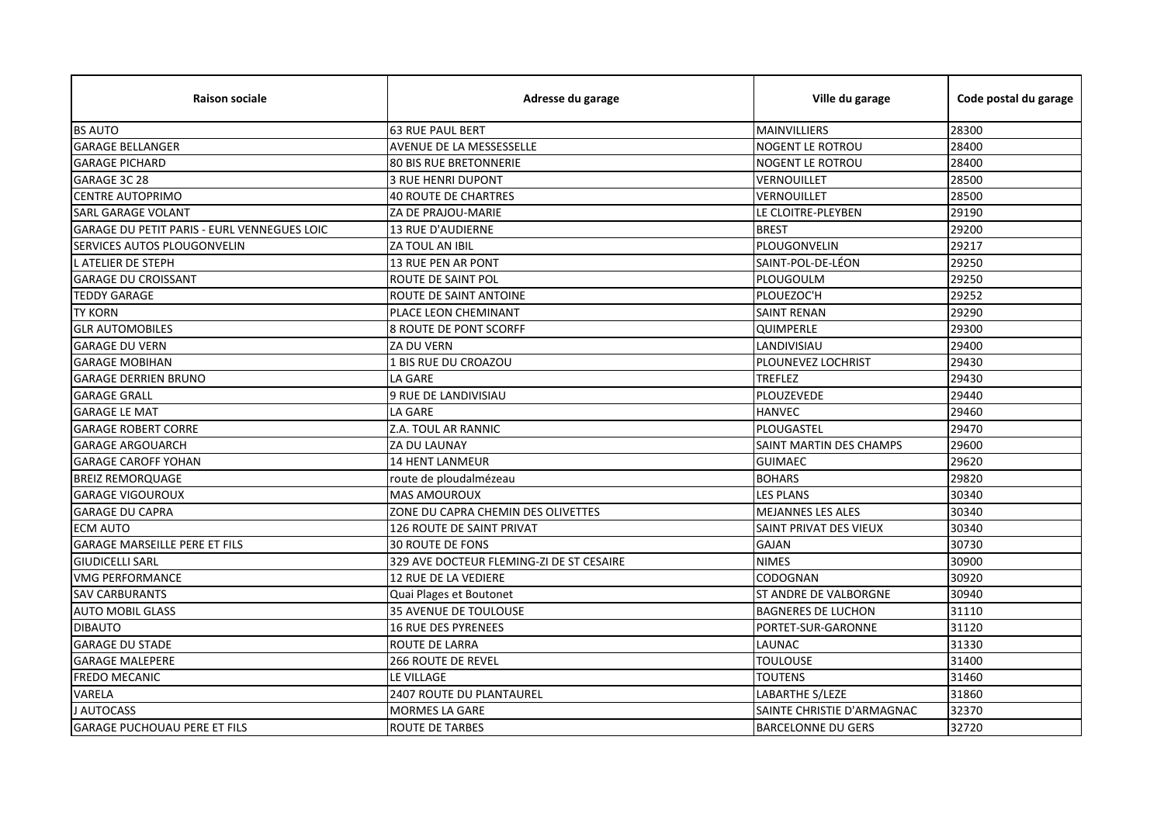| <b>Raison sociale</b>                       | Adresse du garage                        | Ville du garage            | Code postal du garage |
|---------------------------------------------|------------------------------------------|----------------------------|-----------------------|
| <b>BS AUTO</b>                              | <b>63 RUE PAUL BERT</b>                  | MAINVILLIERS               | 28300                 |
| <b>GARAGE BELLANGER</b>                     | AVENUE DE LA MESSESSELLE                 | <b>NOGENT LE ROTROU</b>    | 28400                 |
| <b>GARAGE PICHARD</b>                       | <b>80 BIS RUE BRETONNERIE</b>            | NOGENT LE ROTROU           | 28400                 |
| GARAGE 3C 28                                | <b>3 RUE HENRI DUPONT</b>                | VERNOUILLET                | 28500                 |
| <b>CENTRE AUTOPRIMO</b>                     | <b>40 ROUTE DE CHARTRES</b>              | VERNOUILLET                | 28500                 |
| <b>SARL GARAGE VOLANT</b>                   | ZA DE PRAJOU-MARIE                       | LE CLOITRE-PLEYBEN         | 29190                 |
| GARAGE DU PETIT PARIS - EURL VENNEGUES LOIC | <b>13 RUE D'AUDIERNE</b>                 | <b>BREST</b>               | 29200                 |
| SERVICES AUTOS PLOUGONVELIN                 | ZA TOUL AN IBIL                          | PLOUGONVELIN               | 29217                 |
| L ATELIER DE STEPH                          | 13 RUE PEN AR PONT                       | SAINT-POL-DE-LÉON          | 29250                 |
| <b>GARAGE DU CROISSANT</b>                  | ROUTE DE SAINT POL                       | PLOUGOULM                  | 29250                 |
| <b>TEDDY GARAGE</b>                         | ROUTE DE SAINT ANTOINE                   | PLOUEZOC'H                 | 29252                 |
| <b>TY KORN</b>                              | PLACE LEON CHEMINANT                     | <b>SAINT RENAN</b>         | 29290                 |
| <b>GLR AUTOMOBILES</b>                      | 8 ROUTE DE PONT SCORFF                   | QUIMPERLE                  | 29300                 |
| <b>GARAGE DU VERN</b>                       | ZA DU VERN                               | LANDIVISIAU                | 29400                 |
| <b>GARAGE MOBIHAN</b>                       | 1 BIS RUE DU CROAZOU                     | PLOUNEVEZ LOCHRIST         | 29430                 |
| <b>GARAGE DERRIEN BRUNO</b>                 | LA GARE                                  | TREFLEZ                    | 29430                 |
| <b>GARAGE GRALL</b>                         | 9 RUE DE LANDIVISIAU                     | <b>PLOUZEVEDE</b>          | 29440                 |
| <b>GARAGE LE MAT</b>                        | LA GARE                                  | <b>HANVEC</b>              | 29460                 |
| <b>GARAGE ROBERT CORRE</b>                  | Z.A. TOUL AR RANNIC                      | PLOUGASTEL                 | 29470                 |
| <b>GARAGE ARGOUARCH</b>                     | ZA DU LAUNAY                             | SAINT MARTIN DES CHAMPS    | 29600                 |
| <b>GARAGE CAROFF YOHAN</b>                  | 14 HENT LANMEUR                          | <b>GUIMAEC</b>             | 29620                 |
| <b>BREIZ REMORQUAGE</b>                     | route de ploudalmézeau                   | <b>BOHARS</b>              | 29820                 |
| <b>GARAGE VIGOUROUX</b>                     | <b>MAS AMOUROUX</b>                      | <b>LES PLANS</b>           | 30340                 |
| <b>GARAGE DU CAPRA</b>                      | ZONE DU CAPRA CHEMIN DES OLIVETTES       | <b>MEJANNES LES ALES</b>   | 30340                 |
| <b>ECM AUTO</b>                             | 126 ROUTE DE SAINT PRIVAT                | SAINT PRIVAT DES VIEUX     | 30340                 |
| <b>GARAGE MARSEILLE PERE ET FILS</b>        | <b>30 ROUTE DE FONS</b>                  | <b>GAJAN</b>               | 30730                 |
| <b>GIUDICELLI SARL</b>                      | 329 AVE DOCTEUR FLEMING-ZI DE ST CESAIRE | <b>NIMES</b>               | 30900                 |
| <b>VMG PERFORMANCE</b>                      | 12 RUE DE LA VEDIERE                     | CODOGNAN                   | 30920                 |
| <b>SAV CARBURANTS</b>                       | Quai Plages et Boutonet                  | ST ANDRE DE VALBORGNE      | 30940                 |
| <b>AUTO MOBIL GLASS</b>                     | 35 AVENUE DE TOULOUSE                    | <b>BAGNERES DE LUCHON</b>  | 31110                 |
| <b>DIBAUTO</b>                              | <b>16 RUE DES PYRENEES</b>               | PORTET-SUR-GARONNE         | 31120                 |
| <b>GARAGE DU STADE</b>                      | <b>ROUTE DE LARRA</b>                    | LAUNAC                     | 31330                 |
| <b>GARAGE MALEPERE</b>                      | <b>266 ROUTE DE REVEL</b>                | <b>TOULOUSE</b>            | 31400                 |
| <b>FREDO MECANIC</b>                        | LE VILLAGE                               | <b>TOUTENS</b>             | 31460                 |
| VARELA                                      | <b>2407 ROUTE DU PLANTAUREL</b>          | LABARTHE S/LEZE            | 31860                 |
| J AUTOCASS                                  | <b>MORMES LA GARE</b>                    | SAINTE CHRISTIE D'ARMAGNAC | 32370                 |
| <b>GARAGE PUCHOUAU PERE ET FILS</b>         | <b>ROUTE DE TARBES</b>                   | <b>BARCELONNE DU GERS</b>  | 32720                 |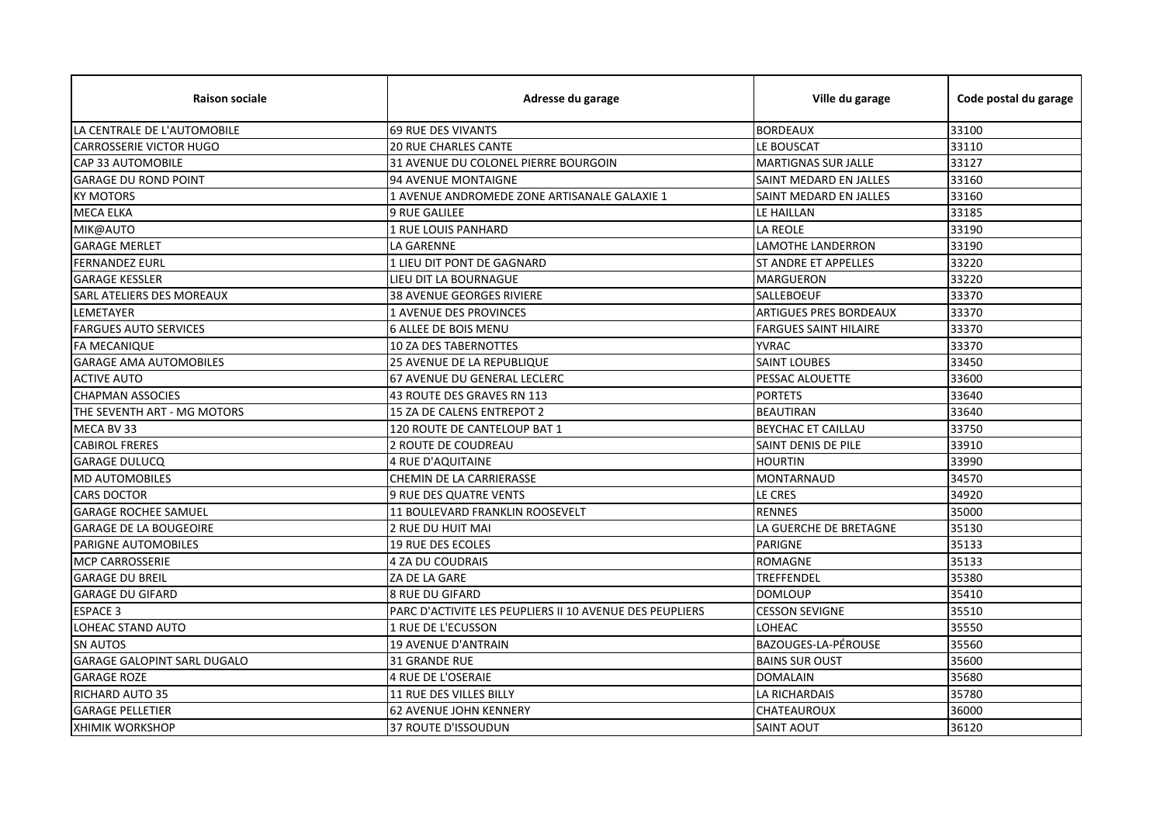| <b>Raison sociale</b>              | Adresse du garage                                        | Ville du garage               | Code postal du garage |
|------------------------------------|----------------------------------------------------------|-------------------------------|-----------------------|
| LA CENTRALE DE L'AUTOMOBILE        | <b>69 RUE DES VIVANTS</b>                                | <b>BORDEAUX</b>               | 33100                 |
| <b>CARROSSERIE VICTOR HUGO</b>     | <b>20 RUE CHARLES CANTE</b>                              | LE BOUSCAT                    | 33110                 |
| <b>CAP 33 AUTOMOBILE</b>           | 31 AVENUE DU COLONEL PIERRE BOURGOIN                     | <b>MARTIGNAS SUR JALLE</b>    | 33127                 |
| <b>GARAGE DU ROND POINT</b>        | 94 AVENUE MONTAIGNE                                      | SAINT MEDARD EN JALLES        | 33160                 |
| <b>KY MOTORS</b>                   | 1 AVENUE ANDROMEDE ZONE ARTISANALE GALAXIE 1             | SAINT MEDARD EN JALLES        | 33160                 |
| <b>MECA ELKA</b>                   | <b>9 RUE GALILEE</b>                                     | LE HAILLAN                    | 33185                 |
| MIK@AUTO                           | 1 RUE LOUIS PANHARD                                      | <b>LA REOLE</b>               | 33190                 |
| <b>GARAGE MERLET</b>               | <b>LA GARENNE</b>                                        | <b>LAMOTHE LANDERRON</b>      | 33190                 |
| <b>FERNANDEZ EURL</b>              | 1 LIEU DIT PONT DE GAGNARD                               | <b>ST ANDRE ET APPELLES</b>   | 33220                 |
| <b>GARAGE KESSLER</b>              | LIEU DIT LA BOURNAGUE                                    | <b>MARGUERON</b>              | 33220                 |
| <b>SARL ATELIERS DES MOREAUX</b>   | <b>38 AVENUE GEORGES RIVIERE</b>                         | <b>SALLEBOEUF</b>             | 33370                 |
| LEMETAYER                          | 1 AVENUE DES PROVINCES                                   | <b>ARTIGUES PRES BORDEAUX</b> | 33370                 |
| <b>FARGUES AUTO SERVICES</b>       | <b>6 ALLEE DE BOIS MENU</b>                              | <b>FARGUES SAINT HILAIRE</b>  | 33370                 |
| <b>FA MECANIQUE</b>                | <b>10 ZA DES TABERNOTTES</b>                             | <b>YVRAC</b>                  | 33370                 |
| <b>GARAGE AMA AUTOMOBILES</b>      | 25 AVENUE DE LA REPUBLIQUE                               | <b>SAINT LOUBES</b>           | 33450                 |
| <b>ACTIVE AUTO</b>                 | 67 AVENUE DU GENERAL LECLERC                             | <b>PESSAC ALOUETTE</b>        | 33600                 |
| <b>CHAPMAN ASSOCIES</b>            | 43 ROUTE DES GRAVES RN 113                               | <b>PORTETS</b>                | 33640                 |
| THE SEVENTH ART - MG MOTORS        | 15 ZA DE CALENS ENTREPOT 2                               | <b>BEAUTIRAN</b>              | 33640                 |
| MECA BV 33                         | 120 ROUTE DE CANTELOUP BAT 1                             | <b>BEYCHAC ET CAILLAU</b>     | 33750                 |
| <b>CABIROL FRERES</b>              | 2 ROUTE DE COUDREAU                                      | SAINT DENIS DE PILE           | 33910                 |
| <b>GARAGE DULUCQ</b>               | 4 RUE D'AQUITAINE                                        | <b>HOURTIN</b>                | 33990                 |
| <b>MD AUTOMOBILES</b>              | CHEMIN DE LA CARRIERASSE                                 | <b>MONTARNAUD</b>             | 34570                 |
| <b>CARS DOCTOR</b>                 | 9 RUE DES QUATRE VENTS                                   | LE CRES                       | 34920                 |
| <b>GARAGE ROCHEE SAMUEL</b>        | 11 BOULEVARD FRANKLIN ROOSEVELT                          | <b>RENNES</b>                 | 35000                 |
| <b>GARAGE DE LA BOUGEOIRE</b>      | 2 RUE DU HUIT MAI                                        | LA GUERCHE DE BRETAGNE        | 35130                 |
| <b>PARIGNE AUTOMOBILES</b>         | <b>19 RUE DES ECOLES</b>                                 | <b>PARIGNE</b>                | 35133                 |
| <b>MCP CARROSSERIE</b>             | 4 ZA DU COUDRAIS                                         | <b>ROMAGNE</b>                | 35133                 |
| <b>GARAGE DU BREIL</b>             | ZA DE LA GARE                                            | TREFFENDEL                    | 35380                 |
| <b>GARAGE DU GIFARD</b>            | <b>8 RUE DU GIFARD</b>                                   | <b>DOMLOUP</b>                | 35410                 |
| <b>ESPACE 3</b>                    | PARC D'ACTIVITE LES PEUPLIERS II 10 AVENUE DES PEUPLIERS | <b>CESSON SEVIGNE</b>         | 35510                 |
| LOHEAC STAND AUTO                  | 1 RUE DE L'ECUSSON                                       | <b>LOHEAC</b>                 | 35550                 |
| <b>SN AUTOS</b>                    | <b>19 AVENUE D'ANTRAIN</b>                               | BAZOUGES-LA-PÉROUSE           | 35560                 |
| <b>GARAGE GALOPINT SARL DUGALO</b> | 31 GRANDE RUE                                            | <b>BAINS SUR OUST</b>         | 35600                 |
| <b>GARAGE ROZE</b>                 | <b>4 RUE DE L'OSERAIE</b>                                | <b>DOMALAIN</b>               | 35680                 |
| <b>RICHARD AUTO 35</b>             | 11 RUE DES VILLES BILLY                                  | <b>LA RICHARDAIS</b>          | 35780                 |
| <b>GARAGE PELLETIER</b>            | <b>62 AVENUE JOHN KENNERY</b>                            | CHATEAUROUX                   | 36000                 |
| <b>XHIMIK WORKSHOP</b>             | 37 ROUTE D'ISSOUDUN                                      | <b>SAINT AOUT</b>             | 36120                 |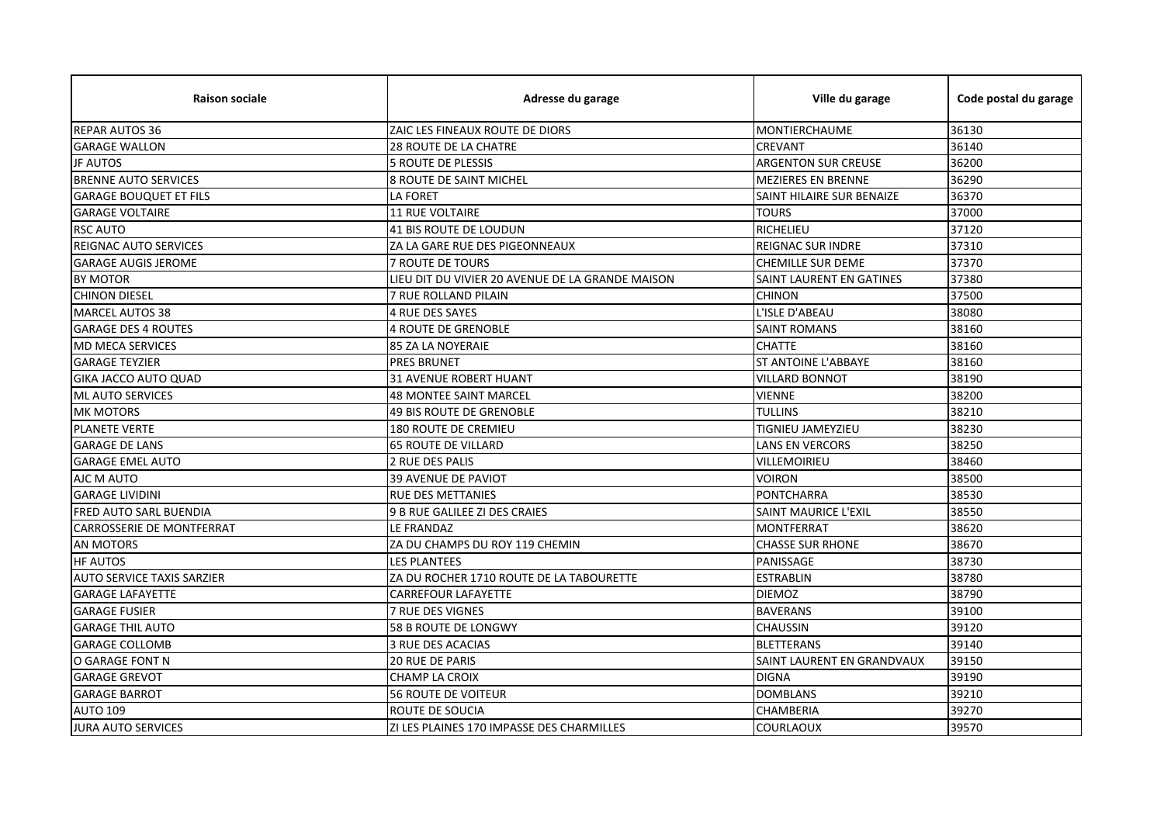| <b>Raison sociale</b>             | Adresse du garage                                | Ville du garage             | Code postal du garage |
|-----------------------------------|--------------------------------------------------|-----------------------------|-----------------------|
| <b>REPAR AUTOS 36</b>             | ZAIC LES FINEAUX ROUTE DE DIORS                  | MONTIERCHAUME               | 36130                 |
| <b>GARAGE WALLON</b>              | <b>28 ROUTE DE LA CHATRE</b>                     | <b>CREVANT</b>              | 36140                 |
| <b>JF AUTOS</b>                   | <b>5 ROUTE DE PLESSIS</b>                        | <b>ARGENTON SUR CREUSE</b>  | 36200                 |
| <b>BRENNE AUTO SERVICES</b>       | <b>8 ROUTE DE SAINT MICHEL</b>                   | <b>MEZIERES EN BRENNE</b>   | 36290                 |
| <b>GARAGE BOUQUET ET FILS</b>     | <b>LA FORET</b>                                  | SAINT HILAIRE SUR BENAIZE   | 36370                 |
| <b>GARAGE VOLTAIRE</b>            | 11 RUE VOLTAIRE                                  | <b>TOURS</b>                | 37000                 |
| <b>RSC AUTO</b>                   | 41 BIS ROUTE DE LOUDUN                           | <b>RICHELIEU</b>            | 37120                 |
| REIGNAC AUTO SERVICES             | ZA LA GARE RUE DES PIGEONNEAUX                   | REIGNAC SUR INDRE           | 37310                 |
| <b>GARAGE AUGIS JEROME</b>        | <b>7 ROUTE DE TOURS</b>                          | <b>CHEMILLE SUR DEME</b>    | 37370                 |
| BY MOTOR                          | LIEU DIT DU VIVIER 20 AVENUE DE LA GRANDE MAISON | SAINT LAURENT EN GATINES    | 37380                 |
| <b>CHINON DIESEL</b>              | 7 RUE ROLLAND PILAIN                             | <b>CHINON</b>               | 37500                 |
| <b>MARCEL AUTOS 38</b>            | <b>4 RUE DES SAYES</b>                           | L'ISLE D'ABEAU              | 38080                 |
| <b>GARAGE DES 4 ROUTES</b>        | <b>4 ROUTE DE GRENOBLE</b>                       | <b>SAINT ROMANS</b>         | 38160                 |
| <b>MD MECA SERVICES</b>           | <b>85 ZA LA NOYERAIE</b>                         | <b>CHATTE</b>               | 38160                 |
| <b>GARAGE TEYZIER</b>             | <b>PRES BRUNET</b>                               | <b>ST ANTOINE L'ABBAYE</b>  | 38160                 |
| <b>GIKA JACCO AUTO QUAD</b>       | <b>31 AVENUE ROBERT HUANT</b>                    | <b>VILLARD BONNOT</b>       | 38190                 |
| <b>ML AUTO SERVICES</b>           | <b>48 MONTEE SAINT MARCEL</b>                    | <b>VIENNE</b>               | 38200                 |
| <b>MK MOTORS</b>                  | <b>49 BIS ROUTE DE GRENOBLE</b>                  | TULLINS                     | 38210                 |
| <b>PLANETE VERTE</b>              | <b>180 ROUTE DE CREMIEU</b>                      | TIGNIEU JAMEYZIEU           | 38230                 |
| <b>GARAGE DE LANS</b>             | <b>65 ROUTE DE VILLARD</b>                       | LANS EN VERCORS             | 38250                 |
| <b>GARAGE EMEL AUTO</b>           | 2 RUE DES PALIS                                  | VILLEMOIRIEU                | 38460                 |
| AJC M AUTO                        | <b>39 AVENUE DE PAVIOT</b>                       | <b>VOIRON</b>               | 38500                 |
| <b>GARAGE LIVIDINI</b>            | <b>RUE DES METTANIES</b>                         | <b>PONTCHARRA</b>           | 38530                 |
| <b>FRED AUTO SARL BUENDIA</b>     | 9 B RUE GALILEE ZI DES CRAIES                    | <b>SAINT MAURICE L'EXIL</b> | 38550                 |
| CARROSSERIE DE MONTFERRAT         | LE FRANDAZ                                       | <b>MONTFERRAT</b>           | 38620                 |
| <b>AN MOTORS</b>                  | ZA DU CHAMPS DU ROY 119 CHEMIN                   | <b>CHASSE SUR RHONE</b>     | 38670                 |
| <b>HF AUTOS</b>                   | <b>LES PLANTEES</b>                              | PANISSAGE                   | 38730                 |
| <b>AUTO SERVICE TAXIS SARZIER</b> | ZA DU ROCHER 1710 ROUTE DE LA TABOURETTE         | <b>ESTRABLIN</b>            | 38780                 |
| <b>GARAGE LAFAYETTE</b>           | <b>CARREFOUR LAFAYETTE</b>                       | <b>DIEMOZ</b>               | 38790                 |
| <b>GARAGE FUSIER</b>              | 7 RUE DES VIGNES                                 | <b>BAVERANS</b>             | 39100                 |
| <b>GARAGE THIL AUTO</b>           | 58 B ROUTE DE LONGWY                             | <b>CHAUSSIN</b>             | 39120                 |
| <b>GARAGE COLLOMB</b>             | <b>3 RUE DES ACACIAS</b>                         | <b>BLETTERANS</b>           | 39140                 |
| O GARAGE FONT N                   | 20 RUE DE PARIS                                  | SAINT LAURENT EN GRANDVAUX  | 39150                 |
| <b>GARAGE GREVOT</b>              | <b>CHAMP LA CROIX</b>                            | <b>DIGNA</b>                | 39190                 |
| <b>GARAGE BARROT</b>              | <b>56 ROUTE DE VOITEUR</b>                       | <b>DOMBLANS</b>             | 39210                 |
| <b>AUTO 109</b>                   | ROUTE DE SOUCIA                                  | CHAMBERIA                   | 39270                 |
| <b>JURA AUTO SERVICES</b>         | ZI LES PLAINES 170 IMPASSE DES CHARMILLES        | <b>COURLAOUX</b>            | 39570                 |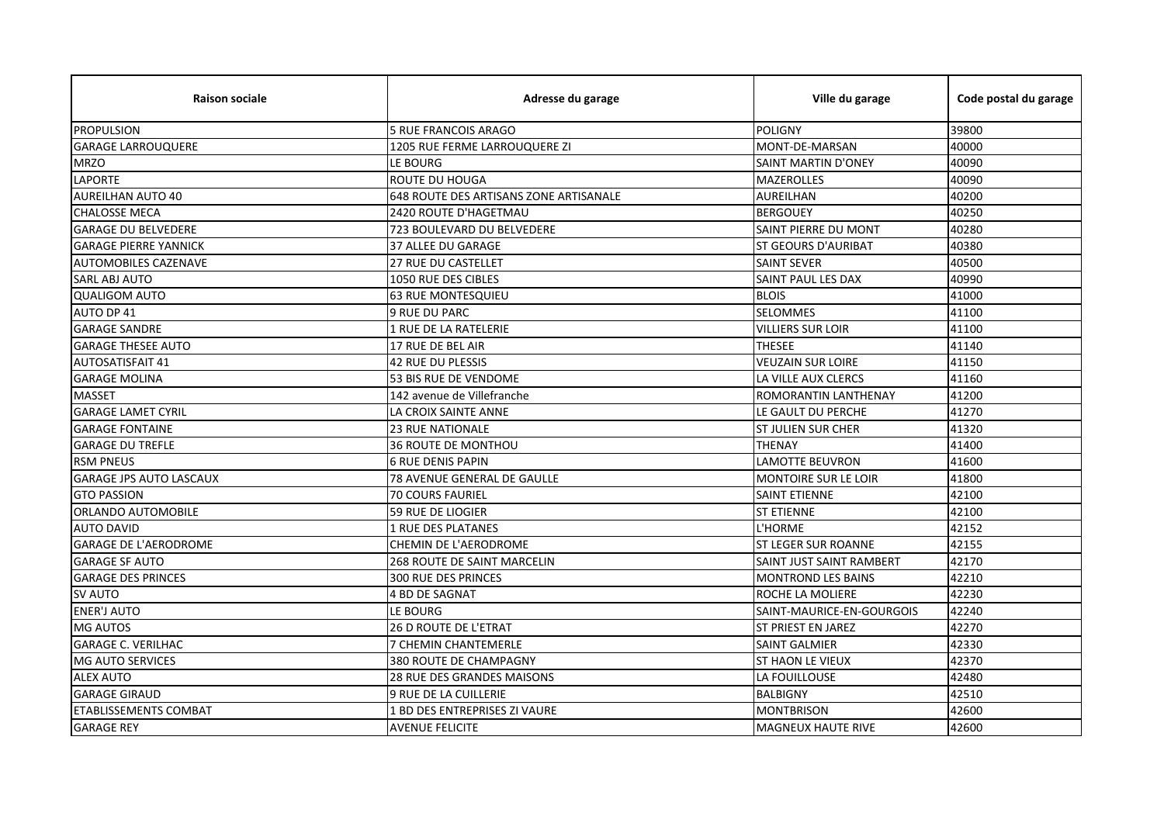| <b>Raison sociale</b>          | Adresse du garage                      | Ville du garage             | Code postal du garage |
|--------------------------------|----------------------------------------|-----------------------------|-----------------------|
| <b>PROPULSION</b>              | <b>5 RUE FRANCOIS ARAGO</b>            | <b>POLIGNY</b>              | 39800                 |
| <b>GARAGE LARROUQUERE</b>      | 1205 RUE FERME LARROUQUERE ZI          | MONT-DE-MARSAN              | 40000                 |
| <b>MRZO</b>                    | LE BOURG                               | <b>SAINT MARTIN D'ONEY</b>  | 40090                 |
| <b>LAPORTE</b>                 | ROUTE DU HOUGA                         | <b>MAZEROLLES</b>           | 40090                 |
| <b>AUREILHAN AUTO 40</b>       | 648 ROUTE DES ARTISANS ZONE ARTISANALE | <b>AUREILHAN</b>            | 40200                 |
| <b>CHALOSSE MECA</b>           | 2420 ROUTE D'HAGETMAU                  | <b>BERGOUEY</b>             | 40250                 |
| <b>GARAGE DU BELVEDERE</b>     | 723 BOULEVARD DU BELVEDERE             | SAINT PIERRE DU MONT        | 40280                 |
| <b>GARAGE PIERRE YANNICK</b>   | 37 ALLEE DU GARAGE                     | <b>ST GEOURS D'AURIBAT</b>  | 40380                 |
| <b>AUTOMOBILES CAZENAVE</b>    | 27 RUE DU CASTELLET                    | <b>SAINT SEVER</b>          | 40500                 |
| SARL ABJ AUTO                  | 1050 RUE DES CIBLES                    | SAINT PAUL LES DAX          | 40990                 |
| <b>QUALIGOM AUTO</b>           | <b>63 RUE MONTESQUIEU</b>              | <b>BLOIS</b>                | 41000                 |
| AUTO DP 41                     | 9 RUE DU PARC                          | <b>SELOMMES</b>             | 41100                 |
| <b>GARAGE SANDRE</b>           | 1 RUE DE LA RATELERIE                  | <b>VILLIERS SUR LOIR</b>    | 41100                 |
| <b>GARAGE THESEE AUTO</b>      | 17 RUE DE BEL AIR                      | <b>THESEE</b>               | 41140                 |
| <b>AUTOSATISFAIT 41</b>        | <b>42 RUE DU PLESSIS</b>               | <b>VEUZAIN SUR LOIRE</b>    | 41150                 |
| <b>GARAGE MOLINA</b>           | 53 BIS RUE DE VENDOME                  | LA VILLE AUX CLERCS         | 41160                 |
| <b>MASSET</b>                  | 142 avenue de Villefranche             | ROMORANTIN LANTHENAY        | 41200                 |
| <b>GARAGE LAMET CYRIL</b>      | LA CROIX SAINTE ANNE                   | LE GAULT DU PERCHE          | 41270                 |
| <b>GARAGE FONTAINE</b>         | <b>23 RUE NATIONALE</b>                | <b>ST JULIEN SUR CHER</b>   | 41320                 |
| <b>GARAGE DU TREFLE</b>        | <b>36 ROUTE DE MONTHOU</b>             | <b>THENAY</b>               | 41400                 |
| <b>RSM PNEUS</b>               | <b>6 RUE DENIS PAPIN</b>               | <b>LAMOTTE BEUVRON</b>      | 41600                 |
| <b>GARAGE JPS AUTO LASCAUX</b> | <b>78 AVENUE GENERAL DE GAULLE</b>     | <b>MONTOIRE SUR LE LOIR</b> | 41800                 |
| <b>GTO PASSION</b>             | 70 COURS FAURIEL                       | <b>SAINT ETIENNE</b>        | 42100                 |
| <b>ORLANDO AUTOMOBILE</b>      | <b>59 RUE DE LIOGIER</b>               | <b>ST ETIENNE</b>           | 42100                 |
| <b>AUTO DAVID</b>              | 1 RUE DES PLATANES                     | L'HORME                     | 42152                 |
| <b>GARAGE DE L'AERODROME</b>   | CHEMIN DE L'AERODROME                  | <b>ST LEGER SUR ROANNE</b>  | 42155                 |
| <b>GARAGE SF AUTO</b>          | 268 ROUTE DE SAINT MARCELIN            | SAINT JUST SAINT RAMBERT    | 42170                 |
| <b>GARAGE DES PRINCES</b>      | 300 RUE DES PRINCES                    | <b>MONTROND LES BAINS</b>   | 42210                 |
| <b>SV AUTO</b>                 | <b>4 BD DE SAGNAT</b>                  | ROCHE LA MOLIERE            | 42230                 |
| <b>ENER'J AUTO</b>             | LE BOURG                               | SAINT-MAURICE-EN-GOURGOIS   | 42240                 |
| <b>MG AUTOS</b>                | 26 D ROUTE DE L'ETRAT                  | <b>ST PRIEST EN JAREZ</b>   | 42270                 |
| <b>GARAGE C. VERILHAC</b>      | 7 CHEMIN CHANTEMERLE                   | <b>SAINT GALMIER</b>        | 42330                 |
| <b>MG AUTO SERVICES</b>        | 380 ROUTE DE CHAMPAGNY                 | ST HAON LE VIEUX            | 42370                 |
| <b>ALEX AUTO</b>               | 28 RUE DES GRANDES MAISONS             | LA FOUILLOUSE               | 42480                 |
| <b>GARAGE GIRAUD</b>           | <b>9 RUE DE LA CUILLERIE</b>           | <b>BALBIGNY</b>             | 42510                 |
| <b>ETABLISSEMENTS COMBAT</b>   | 1 BD DES ENTREPRISES ZI VAURE          | <b>MONTBRISON</b>           | 42600                 |
| <b>GARAGE REY</b>              | <b>AVENUE FELICITE</b>                 | <b>MAGNEUX HAUTE RIVE</b>   | 42600                 |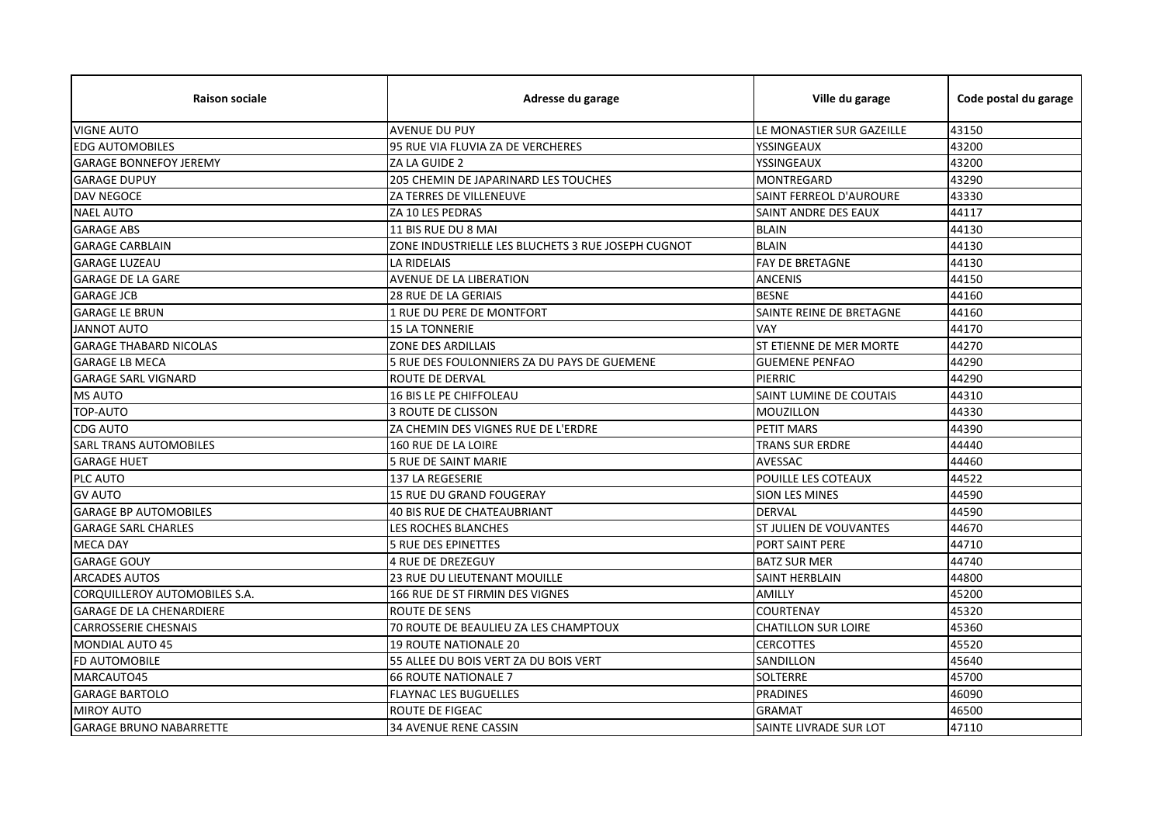| <b>Raison sociale</b>           | Adresse du garage                                  | Ville du garage            | Code postal du garage |
|---------------------------------|----------------------------------------------------|----------------------------|-----------------------|
| <b>VIGNE AUTO</b>               | <b>AVENUE DU PUY</b>                               | LE MONASTIER SUR GAZEILLE  | 43150                 |
| <b>EDG AUTOMOBILES</b>          | 95 RUE VIA FLUVIA ZA DE VERCHERES                  | YSSINGEAUX                 | 43200                 |
| <b>GARAGE BONNEFOY JEREMY</b>   | ZA LA GUIDE 2                                      | YSSINGEAUX                 | 43200                 |
| <b>GARAGE DUPUY</b>             | 205 CHEMIN DE JAPARINARD LES TOUCHES               | <b>MONTREGARD</b>          | 43290                 |
| DAV NEGOCE                      | ZA TERRES DE VILLENEUVE                            | SAINT FERREOL D'AUROURE    | 43330                 |
| <b>NAEL AUTO</b>                | ZA 10 LES PEDRAS                                   | SAINT ANDRE DES EAUX       | 44117                 |
| <b>GARAGE ABS</b>               | 11 BIS RUE DU 8 MAI                                | <b>BLAIN</b>               | 44130                 |
| <b>GARAGE CARBLAIN</b>          | ZONE INDUSTRIELLE LES BLUCHETS 3 RUE JOSEPH CUGNOT | <b>BLAIN</b>               | 44130                 |
| <b>GARAGE LUZEAU</b>            | LA RIDELAIS                                        | <b>FAY DE BRETAGNE</b>     | 44130                 |
| <b>GARAGE DE LA GARE</b>        | AVENUE DE LA LIBERATION                            | <b>ANCENIS</b>             | 44150                 |
| <b>GARAGE JCB</b>               | <b>28 RUE DE LA GERIAIS</b>                        | <b>BESNE</b>               | 44160                 |
| <b>GARAGE LE BRUN</b>           | 1 RUE DU PERE DE MONTFORT                          | SAINTE REINE DE BRETAGNE   | 44160                 |
| <b>JANNOT AUTO</b>              | <b>15 LA TONNERIE</b>                              | VAY                        | 44170                 |
| <b>GARAGE THABARD NICOLAS</b>   | <b>ZONE DES ARDILLAIS</b>                          | ST ETIENNE DE MER MORTE    | 44270                 |
| <b>GARAGE LB MECA</b>           | 5 RUE DES FOULONNIERS ZA DU PAYS DE GUEMENE        | <b>GUEMENE PENFAO</b>      | 44290                 |
| <b>GARAGE SARL VIGNARD</b>      | <b>ROUTE DE DERVAL</b>                             | PIERRIC                    | 44290                 |
| <b>MS AUTO</b>                  | <b>16 BIS LE PE CHIFFOLEAU</b>                     | SAINT LUMINE DE COUTAIS    | 44310                 |
| TOP-AUTO                        | 3 ROUTE DE CLISSON                                 | <b>MOUZILLON</b>           | 44330                 |
| <b>CDG AUTO</b>                 | ZA CHEMIN DES VIGNES RUE DE L'ERDRE                | <b>PETIT MARS</b>          | 44390                 |
| <b>SARL TRANS AUTOMOBILES</b>   | 160 RUE DE LA LOIRE                                | TRANS SUR ERDRE            | 44440                 |
| <b>GARAGE HUET</b>              | <b>5 RUE DE SAINT MARIE</b>                        | AVESSAC                    | 44460                 |
| PLC AUTO                        | 137 LA REGESERIE                                   | POUILLE LES COTEAUX        | 44522                 |
| <b>GV AUTO</b>                  | 15 RUE DU GRAND FOUGERAY                           | <b>SION LES MINES</b>      | 44590                 |
| <b>GARAGE BP AUTOMOBILES</b>    | 40 BIS RUE DE CHATEAUBRIANT                        | <b>DERVAL</b>              | 44590                 |
| <b>GARAGE SARL CHARLES</b>      | LES ROCHES BLANCHES                                | ST JULIEN DE VOUVANTES     | 44670                 |
| <b>MECA DAY</b>                 | <b>5 RUE DES EPINETTES</b>                         | PORT SAINT PERE            | 44710                 |
| <b>GARAGE GOUY</b>              | <b>4 RUE DE DREZEGUY</b>                           | <b>BATZ SUR MER</b>        | 44740                 |
| ARCADES AUTOS                   | 23 RUE DU LIEUTENANT MOUILLE                       | SAINT HERBLAIN             | 44800                 |
| CORQUILLEROY AUTOMOBILES S.A.   | 166 RUE DE ST FIRMIN DES VIGNES                    | AMILLY                     | 45200                 |
| <b>GARAGE DE LA CHENARDIERE</b> | <b>ROUTE DE SENS</b>                               | <b>COURTENAY</b>           | 45320                 |
| <b>CARROSSERIE CHESNAIS</b>     | 70 ROUTE DE BEAULIEU ZA LES CHAMPTOUX              | <b>CHATILLON SUR LOIRE</b> | 45360                 |
| <b>MONDIAL AUTO 45</b>          | <b>19 ROUTE NATIONALE 20</b>                       | <b>CERCOTTES</b>           | 45520                 |
| FD AUTOMOBILE                   | 55 ALLEE DU BOIS VERT ZA DU BOIS VERT              | SANDILLON                  | 45640                 |
| MARCAUTO45                      | <b>66 ROUTE NATIONALE 7</b>                        | <b>SOLTERRE</b>            | 45700                 |
| <b>GARAGE BARTOLO</b>           | <b>FLAYNAC LES BUGUELLES</b>                       | <b>PRADINES</b>            | 46090                 |
| <b>MIROY AUTO</b>               | ROUTE DE FIGEAC                                    | <b>GRAMAT</b>              | 46500                 |
| <b>GARAGE BRUNO NABARRETTE</b>  | <b>34 AVENUE RENE CASSIN</b>                       | SAINTE LIVRADE SUR LOT     | 47110                 |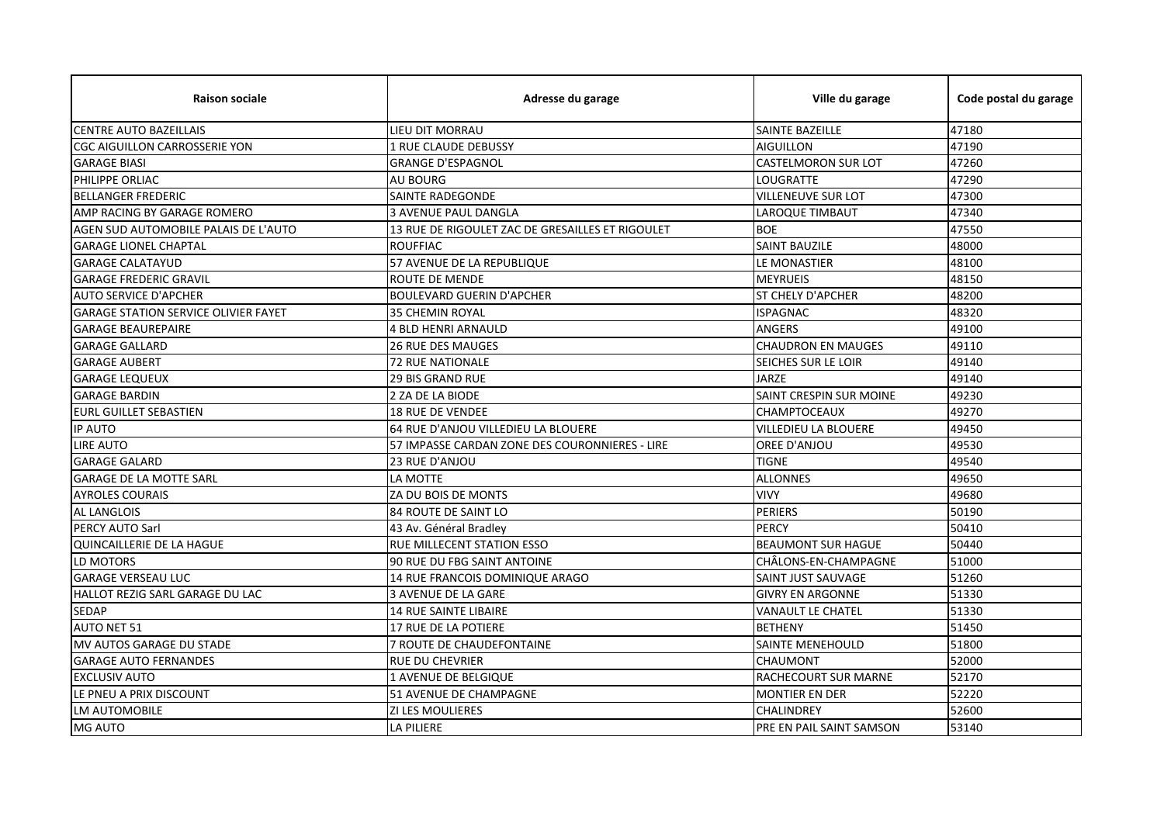| <b>Raison sociale</b>                       | Adresse du garage                                | Ville du garage                | Code postal du garage |
|---------------------------------------------|--------------------------------------------------|--------------------------------|-----------------------|
| <b>CENTRE AUTO BAZEILLAIS</b>               | LIEU DIT MORRAU                                  | <b>SAINTE BAZEILLE</b>         | 47180                 |
| <b>CGC AIGUILLON CARROSSERIE YON</b>        | 1 RUE CLAUDE DEBUSSY                             | <b>AIGUILLON</b>               | 47190                 |
| <b>GARAGE BIASI</b>                         | <b>GRANGE D'ESPAGNOL</b>                         | <b>CASTELMORON SUR LOT</b>     | 47260                 |
| PHILIPPE ORLIAC                             | <b>AU BOURG</b>                                  | LOUGRATTE                      | 47290                 |
| <b>BELLANGER FREDERIC</b>                   | SAINTE RADEGONDE                                 | VILLENEUVE SUR LOT             | 47300                 |
| AMP RACING BY GARAGE ROMERO                 | <b>3 AVENUE PAUL DANGLA</b>                      | <b>LAROQUE TIMBAUT</b>         | 47340                 |
| AGEN SUD AUTOMOBILE PALAIS DE L'AUTO        | 13 RUE DE RIGOULET ZAC DE GRESAILLES ET RIGOULET | <b>BOE</b>                     | 47550                 |
| <b>GARAGE LIONEL CHAPTAL</b>                | <b>ROUFFIAC</b>                                  | <b>SAINT BAUZILE</b>           | 48000                 |
| <b>GARAGE CALATAYUD</b>                     | 57 AVENUE DE LA REPUBLIQUE                       | LE MONASTIER                   | 48100                 |
| <b>GARAGE FREDERIC GRAVIL</b>               | <b>ROUTE DE MENDE</b>                            | <b>MEYRUEIS</b>                | 48150                 |
| <b>AUTO SERVICE D'APCHER</b>                | <b>BOULEVARD GUERIN D'APCHER</b>                 | ST CHELY D'APCHER              | 48200                 |
| <b>GARAGE STATION SERVICE OLIVIER FAYET</b> | <b>35 CHEMIN ROYAL</b>                           | <b>ISPAGNAC</b>                | 48320                 |
| <b>GARAGE BEAUREPAIRE</b>                   | <b>4 BLD HENRI ARNAULD</b>                       | <b>ANGERS</b>                  | 49100                 |
| <b>GARAGE GALLARD</b>                       | <b>26 RUE DES MAUGES</b>                         | <b>CHAUDRON EN MAUGES</b>      | 49110                 |
| <b>GARAGE AUBERT</b>                        | <b>72 RUE NATIONALE</b>                          | <b>SEICHES SUR LE LOIR</b>     | 49140                 |
| <b>GARAGE LEQUEUX</b>                       | <b>29 BIS GRAND RUE</b>                          | <b>JARZE</b>                   | 49140                 |
| <b>GARAGE BARDIN</b>                        | 2 ZA DE LA BIODE                                 | <b>SAINT CRESPIN SUR MOINE</b> | 49230                 |
| <b>EURL GUILLET SEBASTIEN</b>               | <b>18 RUE DE VENDEE</b>                          | <b>CHAMPTOCEAUX</b>            | 49270                 |
| <b>IP AUTO</b>                              | 64 RUE D'ANJOU VILLEDIEU LA BLOUERE              | VILLEDIEU LA BLOUERE           | 49450                 |
| <b>LIRE AUTO</b>                            | 57 IMPASSE CARDAN ZONE DES COURONNIERES - LIRE   | OREE D'ANJOU                   | 49530                 |
| <b>GARAGE GALARD</b>                        | 23 RUE D'ANJOU                                   | <b>TIGNE</b>                   | 49540                 |
| <b>GARAGE DE LA MOTTE SARL</b>              | LA MOTTE                                         | <b>ALLONNES</b>                | 49650                 |
| <b>AYROLES COURAIS</b>                      | ZA DU BOIS DE MONTS                              | <b>VIVY</b>                    | 49680                 |
| <b>AL LANGLOIS</b>                          | 84 ROUTE DE SAINT LO                             | <b>PERIERS</b>                 | 50190                 |
| <b>PERCY AUTO Sarl</b>                      | 43 Av. Général Bradley                           | <b>PERCY</b>                   | 50410                 |
| <b>QUINCAILLERIE DE LA HAGUE</b>            | RUE MILLECENT STATION ESSO                       | <b>BEAUMONT SUR HAGUE</b>      | 50440                 |
| LD MOTORS                                   | 90 RUE DU FBG SAINT ANTOINE                      | CHÂLONS-EN-CHAMPAGNE           | 51000                 |
| <b>GARAGE VERSEAU LUC</b>                   | 14 RUE FRANCOIS DOMINIQUE ARAGO                  | SAINT JUST SAUVAGE             | 51260                 |
| HALLOT REZIG SARL GARAGE DU LAC             | <b>3 AVENUE DE LA GARE</b>                       | <b>GIVRY EN ARGONNE</b>        | 51330                 |
| <b>SEDAP</b>                                | <b>14 RUE SAINTE LIBAIRE</b>                     | <b>VANAULT LE CHATEL</b>       | 51330                 |
| <b>AUTO NET 51</b>                          | 17 RUE DE LA POTIERE                             | <b>BETHENY</b>                 | 51450                 |
| MV AUTOS GARAGE DU STADE                    | 7 ROUTE DE CHAUDEFONTAINE                        | <b>SAINTE MENEHOULD</b>        | 51800                 |
| <b>GARAGE AUTO FERNANDES</b>                | RUE DU CHEVRIER                                  | <b>CHAUMONT</b>                | 52000                 |
| <b>EXCLUSIV AUTO</b>                        | 1 AVENUE DE BELGIQUE                             | RACHECOURT SUR MARNE           | 52170                 |
| LE PNEU A PRIX DISCOUNT                     | <b>51 AVENUE DE CHAMPAGNE</b>                    | <b>MONTIER EN DER</b>          | 52220                 |
| <b>LM AUTOMOBILE</b>                        | <b>ZI LES MOULIERES</b>                          | <b>CHALINDREY</b>              | 52600                 |
| <b>MG AUTO</b>                              | LA PILIERE                                       | PRE EN PAIL SAINT SAMSON       | 53140                 |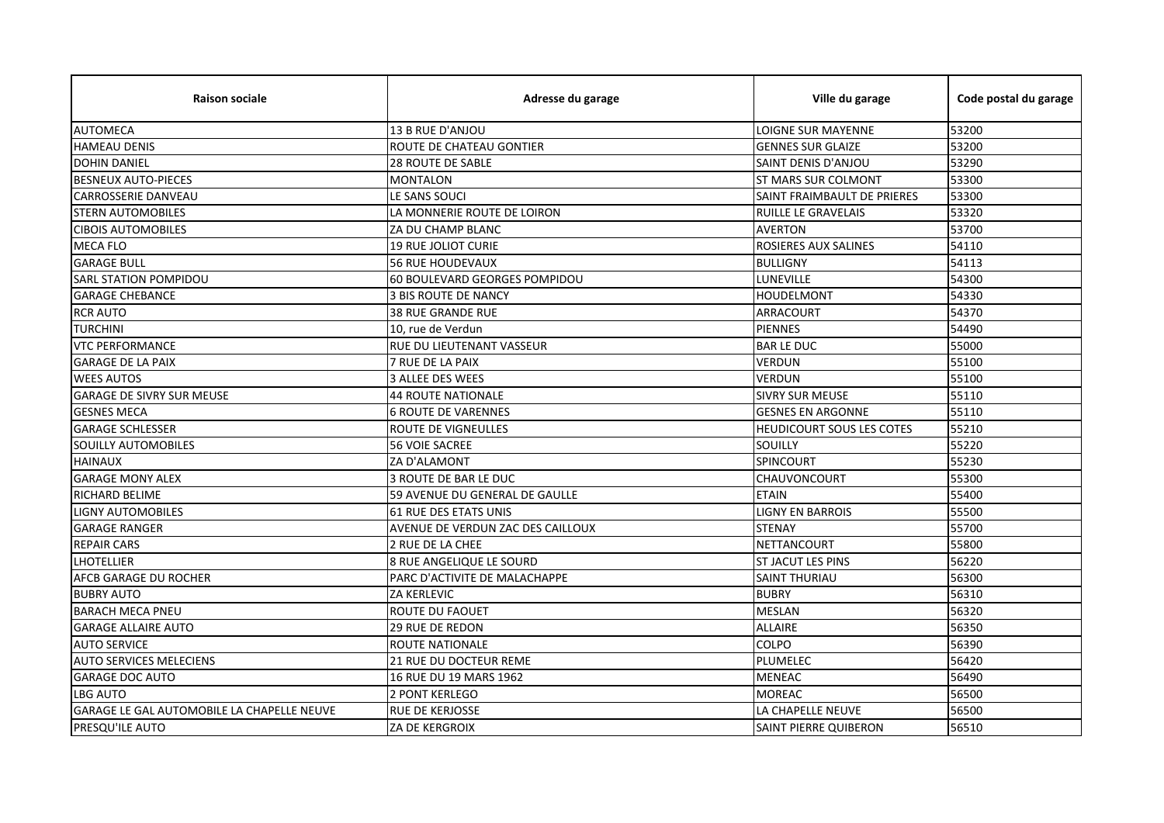| <b>Raison sociale</b>                             | Adresse du garage                 | Ville du garage                  | Code postal du garage |
|---------------------------------------------------|-----------------------------------|----------------------------------|-----------------------|
| <b>AUTOMECA</b>                                   | 13 B RUE D'ANJOU                  | LOIGNE SUR MAYENNE               | 53200                 |
| <b>HAMEAU DENIS</b>                               | ROUTE DE CHATEAU GONTIER          | <b>GENNES SUR GLAIZE</b>         | 53200                 |
| <b>DOHIN DANIEL</b>                               | <b>28 ROUTE DE SABLE</b>          | SAINT DENIS D'ANJOU              | 53290                 |
| <b>BESNEUX AUTO-PIECES</b>                        | <b>MONTALON</b>                   | <b>ST MARS SUR COLMONT</b>       | 53300                 |
| <b>CARROSSERIE DANVEAU</b>                        | LE SANS SOUCI                     | SAINT FRAIMBAULT DE PRIERES      | 53300                 |
| <b>STERN AUTOMOBILES</b>                          | LA MONNERIE ROUTE DE LOIRON       | RUILLE LE GRAVELAIS              | 53320                 |
| <b>CIBOIS AUTOMOBILES</b>                         | ZA DU CHAMP BLANC                 | <b>AVERTON</b>                   | 53700                 |
| <b>MECA FLO</b>                                   | <b>19 RUE JOLIOT CURIE</b>        | ROSIERES AUX SALINES             | 54110                 |
| <b>GARAGE BULL</b>                                | <b>56 RUE HOUDEVAUX</b>           | <b>BULLIGNY</b>                  | 54113                 |
| <b>SARL STATION POMPIDOU</b>                      | 60 BOULEVARD GEORGES POMPIDOU     | LUNEVILLE                        | 54300                 |
| <b>GARAGE CHEBANCE</b>                            | <b>3 BIS ROUTE DE NANCY</b>       | <b>HOUDELMONT</b>                | 54330                 |
| <b>RCR AUTO</b>                                   | 38 RUE GRANDE RUE                 | ARRACOURT                        | 54370                 |
| <b>TURCHINI</b>                                   | 10. rue de Verdun                 | <b>PIENNES</b>                   | 54490                 |
| <b>VTC PERFORMANCE</b>                            | RUE DU LIEUTENANT VASSEUR         | <b>BARLEDUC</b>                  | 55000                 |
| <b>GARAGE DE LA PAIX</b>                          | 7 RUE DE LA PAIX                  | <b>VERDUN</b>                    | 55100                 |
| <b>WEES AUTOS</b>                                 | 3 ALLEE DES WEES                  | <b>VERDUN</b>                    | 55100                 |
| <b>GARAGE DE SIVRY SUR MEUSE</b>                  | <b>44 ROUTE NATIONALE</b>         | <b>SIVRY SUR MEUSE</b>           | 55110                 |
| <b>GESNES MECA</b>                                | <b>6 ROUTE DE VARENNES</b>        | <b>GESNES EN ARGONNE</b>         | 55110                 |
| <b>GARAGE SCHLESSER</b>                           | ROUTE DE VIGNEULLES               | <b>HEUDICOURT SOUS LES COTES</b> | 55210                 |
| SOUILLY AUTOMOBILES                               | <b>56 VOIE SACREE</b>             | SOUILLY                          | 55220                 |
| <b>HAINAUX</b>                                    | ZA D'ALAMONT                      | SPINCOURT                        | 55230                 |
| <b>GARAGE MONY ALEX</b>                           | <b>3 ROUTE DE BAR LE DUC</b>      | <b>CHAUVONCOURT</b>              | 55300                 |
| <b>RICHARD BELIME</b>                             | 59 AVENUE DU GENERAL DE GAULLE    | <b>ETAIN</b>                     | 55400                 |
| <b>LIGNY AUTOMOBILES</b>                          | 61 RUE DES ETATS UNIS             | <b>LIGNY EN BARROIS</b>          | 55500                 |
| <b>GARAGE RANGER</b>                              | AVENUE DE VERDUN ZAC DES CAILLOUX | <b>STENAY</b>                    | 55700                 |
| <b>REPAIR CARS</b>                                | 2 RUE DE LA CHEE                  | NETTANCOURT                      | 55800                 |
| <b>LHOTELLIER</b>                                 | 8 RUE ANGELIQUE LE SOURD          | ST JACUT LES PINS                | 56220                 |
| AFCB GARAGE DU ROCHER                             | PARC D'ACTIVITE DE MALACHAPPE     | <b>SAINT THURIAU</b>             | 56300                 |
| <b>BUBRY AUTO</b>                                 | <b>ZA KERLEVIC</b>                | <b>BUBRY</b>                     | 56310                 |
| <b>BARACH MECA PNEU</b>                           | ROUTE DU FAOUET                   | <b>MESLAN</b>                    | 56320                 |
| <b>GARAGE ALLAIRE AUTO</b>                        | <b>29 RUE DE REDON</b>            | <b>ALLAIRE</b>                   | 56350                 |
| <b>AUTO SERVICE</b>                               | ROUTE NATIONALE                   | <b>COLPO</b>                     | 56390                 |
| <b>AUTO SERVICES MELECIENS</b>                    | 21 RUE DU DOCTEUR REME            | PLUMELEC                         | 56420                 |
| <b>GARAGE DOC AUTO</b>                            | 16 RUE DU 19 MARS 1962            | <b>MENEAC</b>                    | 56490                 |
| <b>LBG AUTO</b>                                   | 2 PONT KERLEGO                    | <b>MOREAC</b>                    | 56500                 |
| <b>GARAGE LE GAL AUTOMOBILE LA CHAPELLE NEUVE</b> | <b>RUE DE KERJOSSE</b>            | LA CHAPELLE NEUVE                | 56500                 |
| <b>PRESQU'ILE AUTO</b>                            | ZA DE KERGROIX                    | <b>SAINT PIERRE QUIBERON</b>     | 56510                 |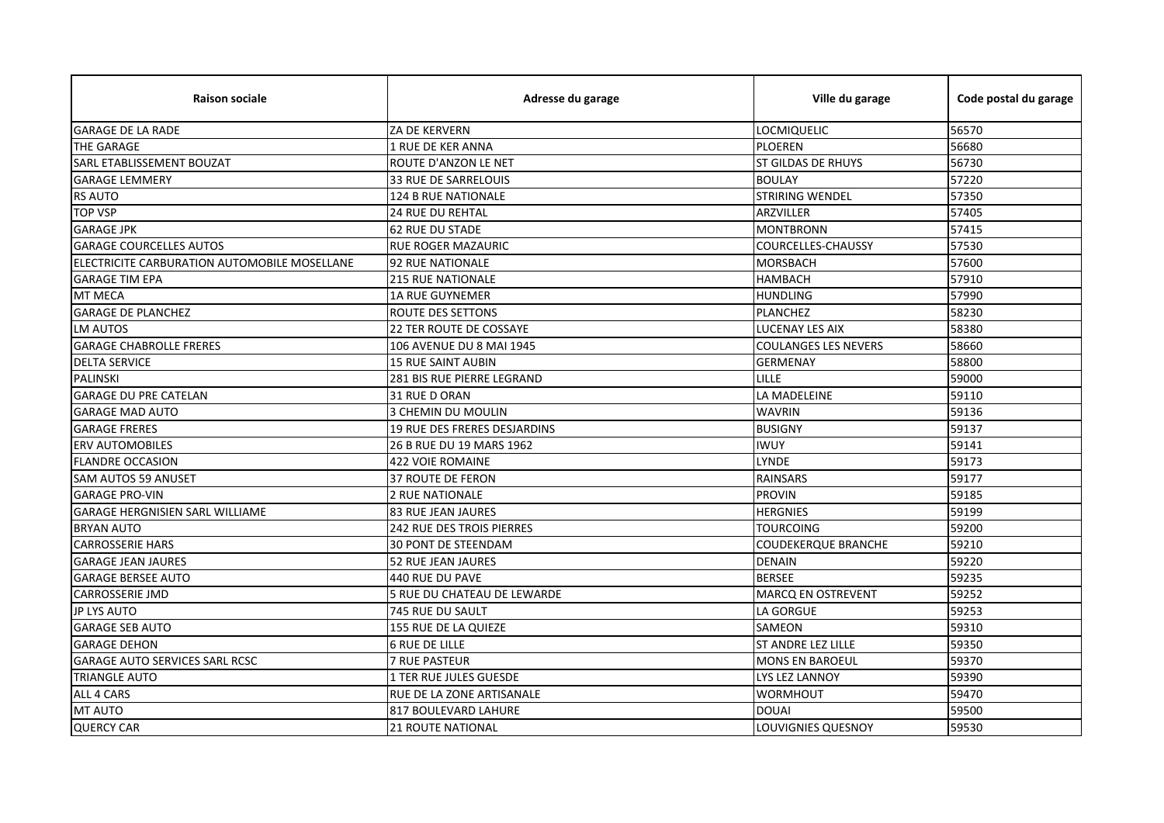| <b>Raison sociale</b>                        | Adresse du garage                | Ville du garage             | Code postal du garage |
|----------------------------------------------|----------------------------------|-----------------------------|-----------------------|
| <b>GARAGE DE LA RADE</b>                     | ZA DE KERVERN                    | LOCMIQUELIC                 | 56570                 |
| THE GARAGE                                   | 1 RUE DE KER ANNA                | <b>PLOEREN</b>              | 56680                 |
| SARL ETABLISSEMENT BOUZAT                    | ROUTE D'ANZON LE NET             | ST GILDAS DE RHUYS          | 56730                 |
| <b>GARAGE LEMMERY</b>                        | 33 RUE DE SARRELOUIS             | <b>BOULAY</b>               | 57220                 |
| <b>RS AUTO</b>                               | 124 B RUE NATIONALE              | <b>STRIRING WENDEL</b>      | 57350                 |
| <b>TOP VSP</b>                               | 24 RUE DU REHTAL                 | ARZVILLER                   | 57405                 |
| <b>GARAGE JPK</b>                            | <b>62 RUE DU STADE</b>           | <b>MONTBRONN</b>            | 57415                 |
| <b>GARAGE COURCELLES AUTOS</b>               | <b>RUE ROGER MAZAURIC</b>        | <b>COURCELLES-CHAUSSY</b>   | 57530                 |
| ELECTRICITE CARBURATION AUTOMOBILE MOSELLANE | <b>92 RUE NATIONALE</b>          | <b>MORSBACH</b>             | 57600                 |
| <b>GARAGE TIM EPA</b>                        | <b>215 RUE NATIONALE</b>         | <b>HAMBACH</b>              | 57910                 |
| MT MECA                                      | <b>1A RUE GUYNEMER</b>           | <b>HUNDLING</b>             | 57990                 |
| <b>GARAGE DE PLANCHEZ</b>                    | <b>ROUTE DES SETTONS</b>         | <b>PLANCHEZ</b>             | 58230                 |
| <b>LM AUTOS</b>                              | 22 TER ROUTE DE COSSAYE          | <b>LUCENAY LES AIX</b>      | 58380                 |
| <b>GARAGE CHABROLLE FRERES</b>               | 106 AVENUE DU 8 MAI 1945         | <b>COULANGES LES NEVERS</b> | 58660                 |
| <b>DELTA SERVICE</b>                         | <b>15 RUE SAINT AUBIN</b>        | <b>GERMENAY</b>             | 58800                 |
| <b>PALINSKI</b>                              | 281 BIS RUE PIERRE LEGRAND       | LILLE                       | 59000                 |
| <b>GARAGE DU PRE CATELAN</b>                 | 31 RUE D ORAN                    | LA MADELEINE                | 59110                 |
| <b>GARAGE MAD AUTO</b>                       | 3 CHEMIN DU MOULIN               | <b>WAVRIN</b>               | 59136                 |
| <b>GARAGE FRERES</b>                         | 19 RUE DES FRERES DESJARDINS     | <b>BUSIGNY</b>              | 59137                 |
| <b>ERV AUTOMOBILES</b>                       | 26 B RUE DU 19 MARS 1962         | <b>IWUY</b>                 | 59141                 |
| <b>FLANDRE OCCASION</b>                      | <b>422 VOIE ROMAINE</b>          | LYNDE                       | 59173                 |
| <b>SAM AUTOS 59 ANUSET</b>                   | <b>37 ROUTE DE FERON</b>         | <b>RAINSARS</b>             | 59177                 |
| <b>GARAGE PRO-VIN</b>                        | 2 RUE NATIONALE                  | <b>PROVIN</b>               | 59185                 |
| <b>GARAGE HERGNISIEN SARL WILLIAME</b>       | <b>83 RUE JEAN JAURES</b>        | <b>HERGNIES</b>             | 59199                 |
| <b>BRYAN AUTO</b>                            | <b>242 RUE DES TROIS PIERRES</b> | <b>TOURCOING</b>            | 59200                 |
| <b>CARROSSERIE HARS</b>                      | <b>30 PONT DE STEENDAM</b>       | <b>COUDEKERQUE BRANCHE</b>  | 59210                 |
| <b>GARAGE JEAN JAURES</b>                    | 52 RUE JEAN JAURES               | <b>DENAIN</b>               | 59220                 |
| <b>GARAGE BERSEE AUTO</b>                    | 440 RUE DU PAVE                  | <b>BERSEE</b>               | 59235                 |
| <b>CARROSSERIE JMD</b>                       | 5 RUE DU CHATEAU DE LEWARDE      | <b>MARCQ EN OSTREVENT</b>   | 59252                 |
| JP LYS AUTO                                  | 745 RUE DU SAULT                 | <b>LA GORGUE</b>            | 59253                 |
| <b>GARAGE SEB AUTO</b>                       | 155 RUE DE LA QUIEZE             | <b>SAMEON</b>               | 59310                 |
| <b>GARAGE DEHON</b>                          | <b>6 RUE DE LILLE</b>            | <b>ST ANDRE LEZ LILLE</b>   | 59350                 |
| <b>GARAGE AUTO SERVICES SARL RCSC</b>        | <b>7 RUE PASTEUR</b>             | <b>MONS EN BAROEUL</b>      | 59370                 |
| <b>TRIANGLE AUTO</b>                         | 1 TER RUE JULES GUESDE           | LYS LEZ LANNOY              | 59390                 |
| ALL 4 CARS                                   | RUE DE LA ZONE ARTISANALE        | <b>WORMHOUT</b>             | 59470                 |
| MT AUTO                                      | 817 BOULEVARD LAHURE             | <b>DOUAI</b>                | 59500                 |
| <b>QUERCY CAR</b>                            | <b>21 ROUTE NATIONAL</b>         | <b>LOUVIGNIES QUESNOY</b>   | 59530                 |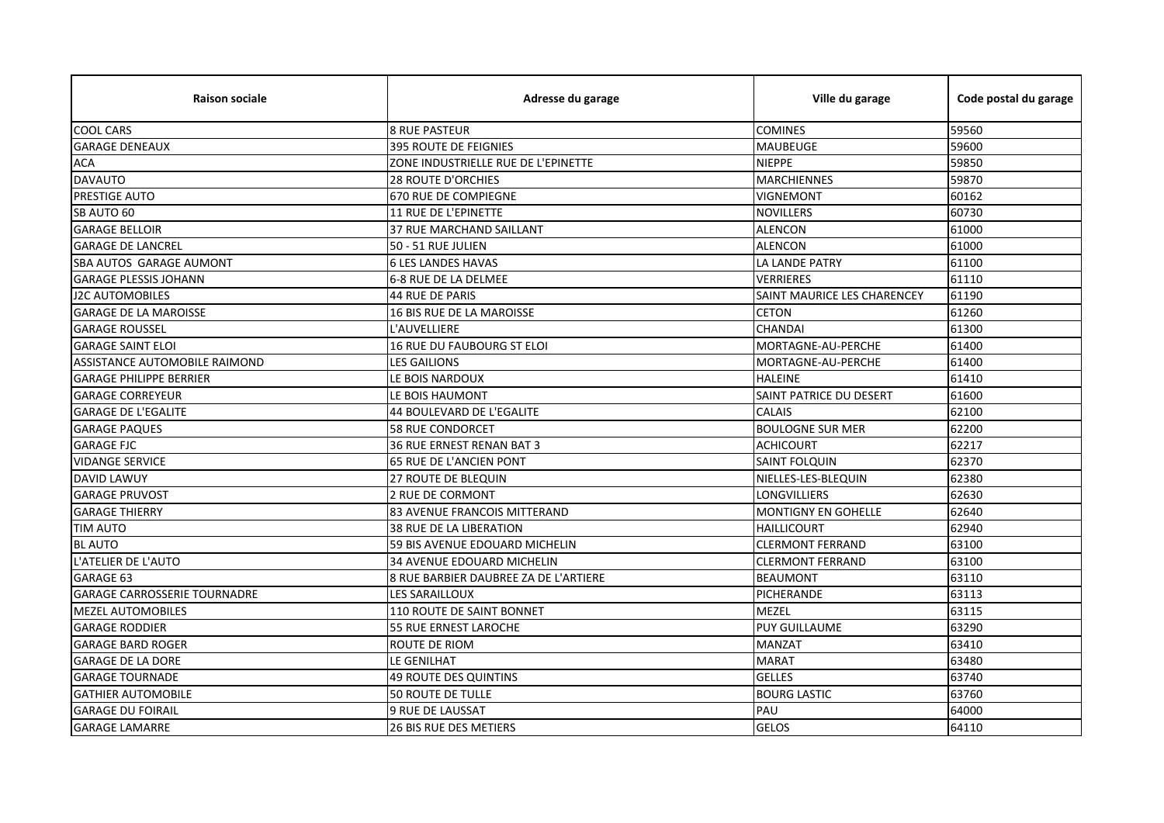| <b>Raison sociale</b>               | Adresse du garage                     | Ville du garage             | Code postal du garage |
|-------------------------------------|---------------------------------------|-----------------------------|-----------------------|
| <b>COOL CARS</b>                    | <b>8 RUE PASTEUR</b>                  | <b>COMINES</b>              | 59560                 |
| <b>GARAGE DENEAUX</b>               | <b>395 ROUTE DE FEIGNIES</b>          | <b>MAUBEUGE</b>             | 59600                 |
| <b>ACA</b>                          | ZONE INDUSTRIELLE RUE DE L'EPINETTE   | <b>NIEPPE</b>               | 59850                 |
| <b>DAVAUTO</b>                      | <b>28 ROUTE D'ORCHIES</b>             | <b>MARCHIENNES</b>          | 59870                 |
| PRESTIGE AUTO                       | 670 RUE DE COMPIEGNE                  | <b>VIGNEMONT</b>            | 60162                 |
| SB AUTO 60                          | <b>11 RUE DE L'EPINETTE</b>           | <b>NOVILLERS</b>            | 60730                 |
| <b>GARAGE BELLOIR</b>               | 37 RUE MARCHAND SAILLANT              | <b>ALENCON</b>              | 61000                 |
| <b>GARAGE DE LANCREL</b>            | 50 - 51 RUE JULIEN                    | <b>ALENCON</b>              | 61000                 |
| SBA AUTOS GARAGE AUMONT             | <b>6 LES LANDES HAVAS</b>             | LA LANDE PATRY              | 61100                 |
| <b>GARAGE PLESSIS JOHANN</b>        | 6-8 RUE DE LA DELMEE                  | <b>VERRIERES</b>            | 61110                 |
| <b>J2C AUTOMOBILES</b>              | 44 RUE DE PARIS                       | SAINT MAURICE LES CHARENCEY | 61190                 |
| <b>GARAGE DE LA MAROISSE</b>        | 16 BIS RUE DE LA MAROISSE             | <b>CETON</b>                | 61260                 |
| <b>GARAGE ROUSSEL</b>               | L'AUVELLIERE                          | <b>CHANDAI</b>              | 61300                 |
| <b>GARAGE SAINT ELOI</b>            | 16 RUE DU FAUBOURG ST ELOI            | MORTAGNE-AU-PERCHE          | 61400                 |
| ASSISTANCE AUTOMOBILE RAIMOND       | <b>LES GAILIONS</b>                   | MORTAGNE-AU-PERCHE          | 61400                 |
| <b>GARAGE PHILIPPE BERRIER</b>      | LE BOIS NARDOUX                       | <b>HALEINE</b>              | 61410                 |
| <b>GARAGE CORREYEUR</b>             | LE BOIS HAUMONT                       | SAINT PATRICE DU DESERT     | 61600                 |
| <b>GARAGE DE L'EGALITE</b>          | 44 BOULEVARD DE L'EGALITE             | <b>CALAIS</b>               | 62100                 |
| <b>GARAGE PAQUES</b>                | <b>58 RUE CONDORCET</b>               | <b>BOULOGNE SUR MER</b>     | 62200                 |
| <b>GARAGE FJC</b>                   | 36 RUE ERNEST RENAN BAT 3             | <b>ACHICOURT</b>            | 62217                 |
| <b>VIDANGE SERVICE</b>              | 65 RUE DE L'ANCIEN PONT               | <b>SAINT FOLQUIN</b>        | 62370                 |
| <b>DAVID LAWUY</b>                  | <b>27 ROUTE DE BLEQUIN</b>            | NIELLES-LES-BLEQUIN         | 62380                 |
| <b>GARAGE PRUVOST</b>               | 2 RUE DE CORMONT                      | <b>LONGVILLIERS</b>         | 62630                 |
| <b>GARAGE THIERRY</b>               | 83 AVENUE FRANCOIS MITTERAND          | <b>MONTIGNY EN GOHELLE</b>  | 62640                 |
| <b>TIM AUTO</b>                     | 38 RUE DE LA LIBERATION               | <b>HAILLICOURT</b>          | 62940                 |
| <b>BL AUTO</b>                      | 59 BIS AVENUE EDOUARD MICHELIN        | <b>CLERMONT FERRAND</b>     | 63100                 |
| L'ATELIER DE L'AUTO                 | 34 AVENUE EDOUARD MICHELIN            | <b>CLERMONT FERRAND</b>     | 63100                 |
| GARAGE 63                           | 8 RUE BARBIER DAUBREE ZA DE L'ARTIERE | <b>BEAUMONT</b>             | 63110                 |
| <b>GARAGE CARROSSERIE TOURNADRE</b> | <b>LES SARAILLOUX</b>                 | PICHERANDE                  | 63113                 |
| <b>MEZEL AUTOMOBILES</b>            | 110 ROUTE DE SAINT BONNET             | <b>MEZEL</b>                | 63115                 |
| <b>GARAGE RODDIER</b>               | 55 RUE ERNEST LAROCHE                 | <b>PUY GUILLAUME</b>        | 63290                 |
| <b>GARAGE BARD ROGER</b>            | ROUTE DE RIOM                         | <b>MANZAT</b>               | 63410                 |
| <b>GARAGE DE LA DORE</b>            | LE GENILHAT                           | <b>MARAT</b>                | 63480                 |
| <b>GARAGE TOURNADE</b>              | 49 ROUTE DES QUINTINS                 | <b>GELLES</b>               | 63740                 |
| <b>GATHIER AUTOMOBILE</b>           | <b>50 ROUTE DE TULLE</b>              | <b>BOURG LASTIC</b>         | 63760                 |
| <b>GARAGE DU FOIRAIL</b>            | 9 RUE DE LAUSSAT                      | PAU                         | 64000                 |
| <b>GARAGE LAMARRE</b>               | <b>26 BIS RUE DES METIERS</b>         | <b>GELOS</b>                | 64110                 |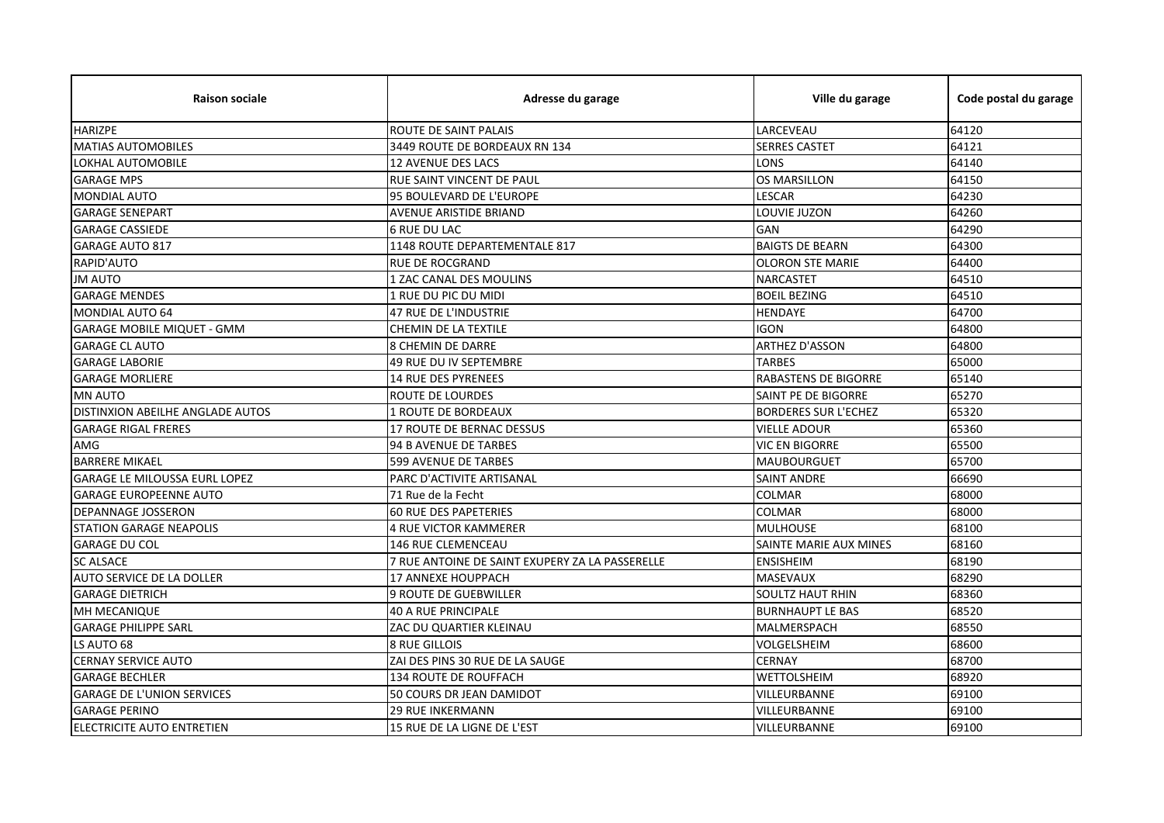| <b>Raison sociale</b>             | Adresse du garage                               | Ville du garage             | Code postal du garage |
|-----------------------------------|-------------------------------------------------|-----------------------------|-----------------------|
| <b>HARIZPE</b>                    | ROUTE DE SAINT PALAIS                           | LARCEVEAU                   | 64120                 |
| <b>MATIAS AUTOMOBILES</b>         | 3449 ROUTE DE BORDEAUX RN 134                   | <b>SERRES CASTET</b>        | 64121                 |
| LOKHAL AUTOMOBILE                 | 12 AVENUE DES LACS                              | LONS                        | 64140                 |
| <b>GARAGE MPS</b>                 | RUE SAINT VINCENT DE PAUL                       | <b>OS MARSILLON</b>         | 64150                 |
| <b>MONDIAL AUTO</b>               | 95 BOULEVARD DE L'EUROPE                        | LESCAR                      | 64230                 |
| <b>GARAGE SENEPART</b>            | <b>AVENUE ARISTIDE BRIAND</b>                   | LOUVIE JUZON                | 64260                 |
| <b>GARAGE CASSIEDE</b>            | <b>6 RUE DU LAC</b>                             | GAN                         | 64290                 |
| <b>GARAGE AUTO 817</b>            | 1148 ROUTE DEPARTEMENTALE 817                   | <b>BAIGTS DE BEARN</b>      | 64300                 |
| RAPID'AUTO                        | <b>RUE DE ROCGRAND</b>                          | <b>OLORON STE MARIE</b>     | 64400                 |
| <b>JM AUTO</b>                    | 1 ZAC CANAL DES MOULINS                         | <b>NARCASTET</b>            | 64510                 |
| <b>GARAGE MENDES</b>              | 1 RUE DU PIC DU MIDI                            | <b>BOEIL BEZING</b>         | 64510                 |
| MONDIAL AUTO 64                   | 47 RUE DE L'INDUSTRIE                           | <b>HENDAYE</b>              | 64700                 |
| <b>GARAGE MOBILE MIQUET - GMM</b> | CHEMIN DE LA TEXTILE                            | <b>IGON</b>                 | 64800                 |
| <b>GARAGE CL AUTO</b>             | <b>8 CHEMIN DE DARRE</b>                        | <b>ARTHEZ D'ASSON</b>       | 64800                 |
| <b>GARAGE LABORIE</b>             | 49 RUE DU IV SEPTEMBRE                          | <b>TARBES</b>               | 65000                 |
| <b>GARAGE MORLIERE</b>            | <b>14 RUE DES PYRENEES</b>                      | <b>RABASTENS DE BIGORRE</b> | 65140                 |
| <b>MN AUTO</b>                    | <b>ROUTE DE LOURDES</b>                         | SAINT PE DE BIGORRE         | 65270                 |
| DISTINXION ABEILHE ANGLADE AUTOS  | 1 ROUTE DE BORDEAUX                             | <b>BORDERES SUR L'ECHEZ</b> | 65320                 |
| <b>GARAGE RIGAL FRERES</b>        | 17 ROUTE DE BERNAC DESSUS                       | <b>VIELLE ADOUR</b>         | 65360                 |
| AMG                               | 94 B AVENUE DE TARBES                           | VIC EN BIGORRE              | 65500                 |
| <b>BARRERE MIKAEL</b>             | <b>599 AVENUE DE TARBES</b>                     | <b>MAUBOURGUET</b>          | 65700                 |
| GARAGE LE MILOUSSA EURL LOPEZ     | PARC D'ACTIVITE ARTISANAL                       | <b>SAINT ANDRE</b>          | 66690                 |
| <b>GARAGE EUROPEENNE AUTO</b>     | 71 Rue de la Fecht                              | <b>COLMAR</b>               | 68000                 |
| <b>DEPANNAGE JOSSERON</b>         | <b>60 RUE DES PAPETERIES</b>                    | <b>COLMAR</b>               | 68000                 |
| <b>STATION GARAGE NEAPOLIS</b>    | <b>4 RUE VICTOR KAMMERER</b>                    | <b>MULHOUSE</b>             | 68100                 |
| <b>GARAGE DU COL</b>              | 146 RUE CLEMENCEAU                              | SAINTE MARIE AUX MINES      | 68160                 |
| <b>SC ALSACE</b>                  | 7 RUE ANTOINE DE SAINT EXUPERY ZA LA PASSERELLE | <b>ENSISHEIM</b>            | 68190                 |
| AUTO SERVICE DE LA DOLLER         | 17 ANNEXE HOUPPACH                              | MASEVAUX                    | 68290                 |
| <b>GARAGE DIETRICH</b>            | <b>9 ROUTE DE GUEBWILLER</b>                    | <b>SOULTZ HAUT RHIN</b>     | 68360                 |
| MH MECANIQUE                      | <b>40 A RUE PRINCIPALE</b>                      | <b>BURNHAUPT LE BAS</b>     | 68520                 |
| <b>GARAGE PHILIPPE SARL</b>       | ZAC DU QUARTIER KLEINAU                         | MALMERSPACH                 | 68550                 |
| LS AUTO 68                        | <b>8 RUE GILLOIS</b>                            | VOLGELSHEIM                 | 68600                 |
| <b>CERNAY SERVICE AUTO</b>        | ZAI DES PINS 30 RUE DE LA SAUGE                 | <b>CERNAY</b>               | 68700                 |
| <b>GARAGE BECHLER</b>             | 134 ROUTE DE ROUFFACH                           | WETTOLSHEIM                 | 68920                 |
| <b>GARAGE DE L'UNION SERVICES</b> | 50 COURS DR JEAN DAMIDOT                        | VILLEURBANNE                | 69100                 |
| <b>GARAGE PERINO</b>              | <b>29 RUE INKERMANN</b>                         | VILLEURBANNE                | 69100                 |
| ELECTRICITE AUTO ENTRETIEN        | 15 RUE DE LA LIGNE DE L'EST                     | VILLEURBANNE                | 69100                 |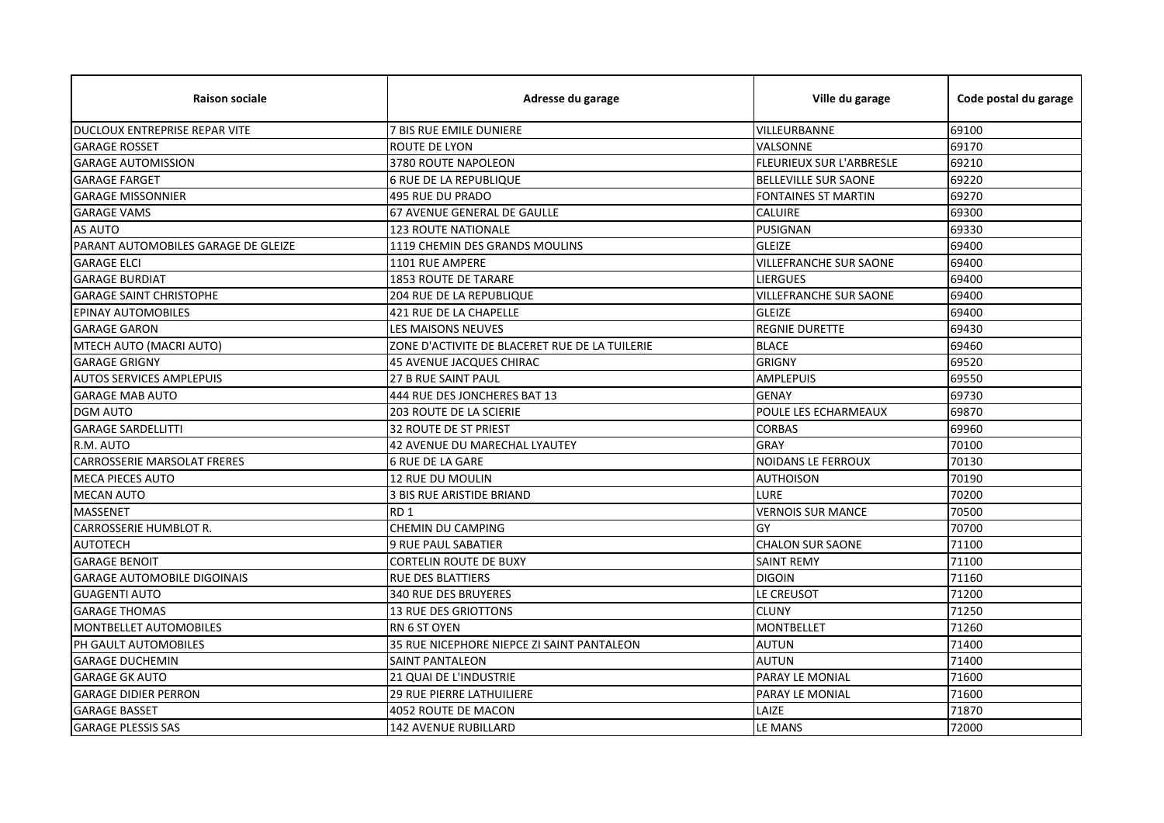| <b>Raison sociale</b>               | Adresse du garage                              | Ville du garage               | Code postal du garage |
|-------------------------------------|------------------------------------------------|-------------------------------|-----------------------|
| DUCLOUX ENTREPRISE REPAR VITE       | 7 BIS RUE EMILE DUNIERE                        | VILLEURBANNE                  | 69100                 |
| <b>GARAGE ROSSET</b>                | ROUTE DE LYON                                  | VALSONNE                      | 69170                 |
| <b>GARAGE AUTOMISSION</b>           | 3780 ROUTE NAPOLEON                            | FLEURIEUX SUR L'ARBRESLE      | 69210                 |
| <b>GARAGE FARGET</b>                | <b>6 RUE DE LA REPUBLIQUE</b>                  | <b>BELLEVILLE SUR SAONE</b>   | 69220                 |
| <b>GARAGE MISSONNIER</b>            | 495 RUE DU PRADO                               | <b>FONTAINES ST MARTIN</b>    | 69270                 |
| <b>GARAGE VAMS</b>                  | 67 AVENUE GENERAL DE GAULLE                    | <b>CALUIRE</b>                | 69300                 |
| <b>AS AUTO</b>                      | <b>123 ROUTE NATIONALE</b>                     | <b>PUSIGNAN</b>               | 69330                 |
| PARANT AUTOMOBILES GARAGE DE GLEIZE | 1119 CHEMIN DES GRANDS MOULINS                 | <b>GLEIZE</b>                 | 69400                 |
| <b>GARAGE ELCI</b>                  | 1101 RUE AMPERE                                | <b>VILLEFRANCHE SUR SAONE</b> | 69400                 |
| <b>GARAGE BURDIAT</b>               | <b>1853 ROUTE DE TARARE</b>                    | <b>LIERGUES</b>               | 69400                 |
| <b>GARAGE SAINT CHRISTOPHE</b>      | 204 RUE DE LA REPUBLIQUE                       | <b>VILLEFRANCHE SUR SAONE</b> | 69400                 |
| <b>EPINAY AUTOMOBILES</b>           | 421 RUE DE LA CHAPELLE                         | <b>GLEIZE</b>                 | 69400                 |
| <b>GARAGE GARON</b>                 | LES MAISONS NEUVES                             | <b>REGNIE DURETTE</b>         | 69430                 |
| MTECH AUTO (MACRI AUTO)             | ZONE D'ACTIVITE DE BLACERET RUE DE LA TUILERIE | <b>BLACE</b>                  | 69460                 |
| <b>GARAGE GRIGNY</b>                | <b>45 AVENUE JACQUES CHIRAC</b>                | <b>GRIGNY</b>                 | 69520                 |
| <b>AUTOS SERVICES AMPLEPUIS</b>     | 27 B RUE SAINT PAUL                            | <b>AMPLEPUIS</b>              | 69550                 |
| <b>GARAGE MAB AUTO</b>              | 444 RUE DES JONCHERES BAT 13                   | <b>GENAY</b>                  | 69730                 |
| <b>DGM AUTO</b>                     | <b>203 ROUTE DE LA SCIERIE</b>                 | <b>POULE LES ECHARMEAUX</b>   | 69870                 |
| <b>GARAGE SARDELLITTI</b>           | <b>32 ROUTE DE ST PRIEST</b>                   | CORBAS                        | 69960                 |
| R.M. AUTO                           | 42 AVENUE DU MARECHAL LYAUTEY                  | <b>GRAY</b>                   | 70100                 |
| <b>CARROSSERIE MARSOLAT FRERES</b>  | <b>6 RUE DE LA GARE</b>                        | NOIDANS LE FERROUX            | 70130                 |
| <b>MECA PIECES AUTO</b>             | 12 RUE DU MOULIN                               | <b>AUTHOISON</b>              | 70190                 |
| <b>MECAN AUTO</b>                   | 3 BIS RUE ARISTIDE BRIAND                      | LURE                          | 70200                 |
| <b>MASSENET</b>                     | RD <sub>1</sub>                                | <b>VERNOIS SUR MANCE</b>      | 70500                 |
| <b>CARROSSERIE HUMBLOT R.</b>       | CHEMIN DU CAMPING                              | GY                            | 70700                 |
| <b>AUTOTECH</b>                     | <b>9 RUE PAUL SABATIER</b>                     | <b>CHALON SUR SAONE</b>       | 71100                 |
| <b>GARAGE BENOIT</b>                | <b>CORTELIN ROUTE DE BUXY</b>                  | <b>SAINT REMY</b>             | 71100                 |
| <b>GARAGE AUTOMOBILE DIGOINAIS</b>  | <b>RUE DES BLATTIERS</b>                       | <b>DIGOIN</b>                 | 71160                 |
| <b>GUAGENTI AUTO</b>                | <b>340 RUE DES BRUYERES</b>                    | LE CREUSOT                    | 71200                 |
| <b>GARAGE THOMAS</b>                | <b>13 RUE DES GRIOTTONS</b>                    | <b>CLUNY</b>                  | 71250                 |
| MONTBELLET AUTOMOBILES              | <b>RN 6 ST OYEN</b>                            | <b>MONTBELLET</b>             | 71260                 |
| PH GAULT AUTOMOBILES                | 35 RUE NICEPHORE NIEPCE ZI SAINT PANTALEON     | <b>AUTUN</b>                  | 71400                 |
| <b>GARAGE DUCHEMIN</b>              | <b>SAINT PANTALEON</b>                         | <b>AUTUN</b>                  | 71400                 |
| <b>GARAGE GK AUTO</b>               | 21 QUAI DE L'INDUSTRIE                         | PARAY LE MONIAL               | 71600                 |
| <b>GARAGE DIDIER PERRON</b>         | 29 RUE PIERRE LATHUILIERE                      | PARAY LE MONIAL               | 71600                 |
| <b>GARAGE BASSET</b>                | 4052 ROUTE DE MACON                            | LAIZE                         | 71870                 |
| <b>GARAGE PLESSIS SAS</b>           | <b>142 AVENUE RUBILLARD</b>                    | LE MANS                       | 72000                 |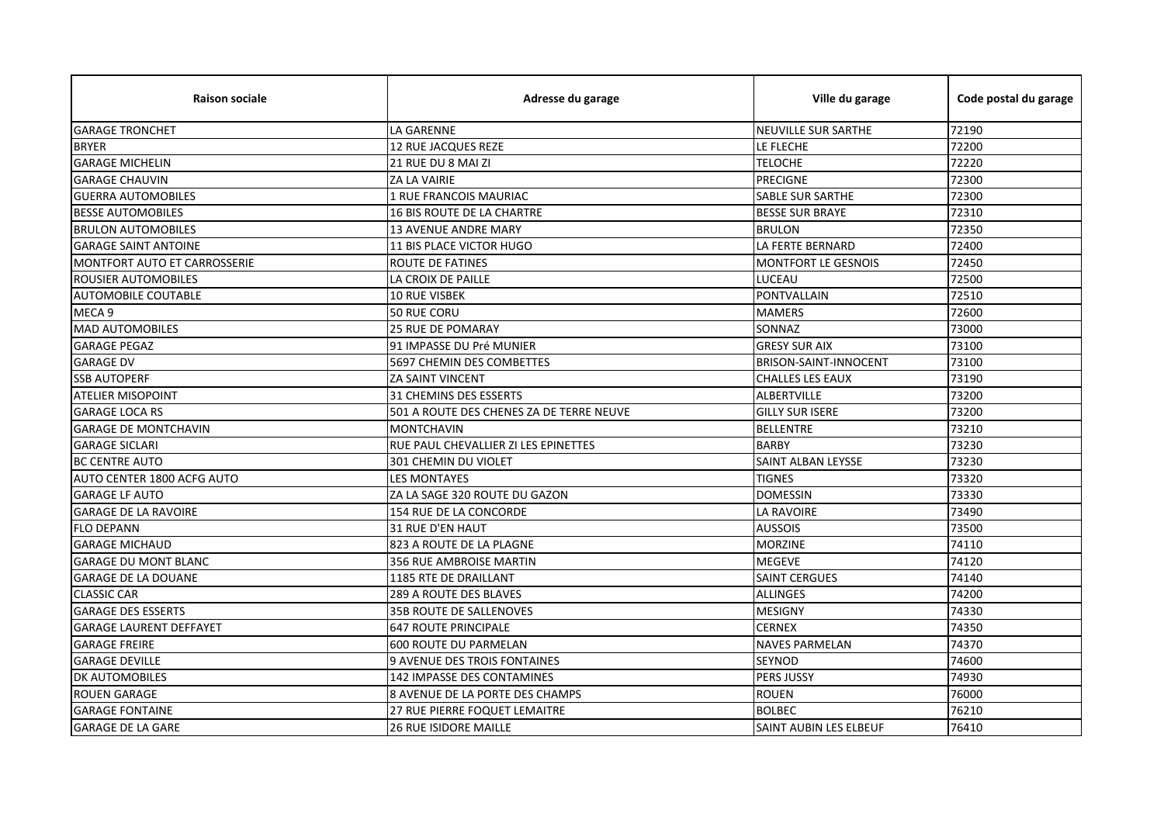| <b>Raison sociale</b>          | Adresse du garage                        | Ville du garage               | Code postal du garage |
|--------------------------------|------------------------------------------|-------------------------------|-----------------------|
| <b>GARAGE TRONCHET</b>         | LA GARENNE                               | <b>NEUVILLE SUR SARTHE</b>    | 72190                 |
| <b>BRYER</b>                   | 12 RUE JACQUES REZE                      | LE FLECHE                     | 72200                 |
| <b>GARAGE MICHELIN</b>         | 21 RUE DU 8 MAI ZI                       | <b>TELOCHE</b>                | 72220                 |
| <b>GARAGE CHAUVIN</b>          | ZA LA VAIRIE                             | <b>PRECIGNE</b>               | 72300                 |
| <b>GUERRA AUTOMOBILES</b>      | 1 RUE FRANCOIS MAURIAC                   | <b>SABLE SUR SARTHE</b>       | 72300                 |
| <b>BESSE AUTOMOBILES</b>       | 16 BIS ROUTE DE LA CHARTRE               | <b>BESSE SUR BRAYE</b>        | 72310                 |
| <b>BRULON AUTOMOBILES</b>      | <b>13 AVENUE ANDRE MARY</b>              | <b>BRULON</b>                 | 72350                 |
| <b>GARAGE SAINT ANTOINE</b>    | 11 BIS PLACE VICTOR HUGO                 | LA FERTE BERNARD              | 72400                 |
| MONTFORT AUTO ET CARROSSERIE   | <b>ROUTE DE FATINES</b>                  | MONTFORT LE GESNOIS           | 72450                 |
| ROUSIER AUTOMOBILES            | LA CROIX DE PAILLE                       | LUCEAU                        | 72500                 |
| <b>AUTOMOBILE COUTABLE</b>     | <b>10 RUE VISBEK</b>                     | PONTVALLAIN                   | 72510                 |
| MECA 9                         | 50 RUE CORU                              | <b>MAMERS</b>                 | 72600                 |
| <b>MAD AUTOMOBILES</b>         | <b>25 RUE DE POMARAY</b>                 | SONNAZ                        | 73000                 |
| <b>GARAGE PEGAZ</b>            | 91 IMPASSE DU Pré MUNIER                 | <b>GRESY SUR AIX</b>          | 73100                 |
| <b>GARAGE DV</b>               | <b>5697 CHEMIN DES COMBETTES</b>         | <b>BRISON-SAINT-INNOCENT</b>  | 73100                 |
| <b>SSB AUTOPERF</b>            | <b>ZA SAINT VINCENT</b>                  | <b>CHALLES LES EAUX</b>       | 73190                 |
| <b>ATELIER MISOPOINT</b>       | <b>31 CHEMINS DES ESSERTS</b>            | <b>ALBERTVILLE</b>            | 73200                 |
| <b>GARAGE LOCA RS</b>          | 501 A ROUTE DES CHENES ZA DE TERRE NEUVE | <b>GILLY SUR ISERE</b>        | 73200                 |
| <b>GARAGE DE MONTCHAVIN</b>    | <b>MONTCHAVIN</b>                        | <b>BELLENTRE</b>              | 73210                 |
| <b>GARAGE SICLARI</b>          | RUE PAUL CHEVALLIER ZI LES EPINETTES     | <b>BARBY</b>                  | 73230                 |
| <b>BC CENTRE AUTO</b>          | 301 CHEMIN DU VIOLET                     | SAINT ALBAN LEYSSE            | 73230                 |
| AUTO CENTER 1800 ACFG AUTO     | <b>LES MONTAYES</b>                      | <b>TIGNES</b>                 | 73320                 |
| <b>GARAGE LF AUTO</b>          | ZA LA SAGE 320 ROUTE DU GAZON            | <b>DOMESSIN</b>               | 73330                 |
| <b>GARAGE DE LA RAVOIRE</b>    | 154 RUE DE LA CONCORDE                   | <b>LA RAVOIRE</b>             | 73490                 |
| <b>FLO DEPANN</b>              | 31 RUE D'EN HAUT                         | <b>AUSSOIS</b>                | 73500                 |
| <b>GARAGE MICHAUD</b>          | 823 A ROUTE DE LA PLAGNE                 | <b>MORZINE</b>                | 74110                 |
| <b>GARAGE DU MONT BLANC</b>    | 356 RUE AMBROISE MARTIN                  | <b>MEGEVE</b>                 | 74120                 |
| <b>GARAGE DE LA DOUANE</b>     | 1185 RTE DE DRAILLANT                    | <b>SAINT CERGUES</b>          | 74140                 |
| <b>CLASSIC CAR</b>             | 289 A ROUTE DES BLAVES                   | <b>ALLINGES</b>               | 74200                 |
| <b>GARAGE DES ESSERTS</b>      | 35B ROUTE DE SALLENOVES                  | <b>MESIGNY</b>                | 74330                 |
| <b>GARAGE LAURENT DEFFAYET</b> | <b>647 ROUTE PRINCIPALE</b>              | <b>CERNEX</b>                 | 74350                 |
| <b>GARAGE FREIRE</b>           | 600 ROUTE DU PARMELAN                    | <b>NAVES PARMELAN</b>         | 74370                 |
| <b>GARAGE DEVILLE</b>          | 9 AVENUE DES TROIS FONTAINES             | <b>SEYNOD</b>                 | 74600                 |
| DK AUTOMOBILES                 | 142 IMPASSE DES CONTAMINES               | PERS JUSSY                    | 74930                 |
| <b>ROUEN GARAGE</b>            | 8 AVENUE DE LA PORTE DES CHAMPS          | <b>ROUEN</b>                  | 76000                 |
| <b>GARAGE FONTAINE</b>         | 27 RUE PIERRE FOQUET LEMAITRE            | <b>BOLBEC</b>                 | 76210                 |
| <b>GARAGE DE LA GARE</b>       | <b>26 RUE ISIDORE MAILLE</b>             | <b>SAINT AUBIN LES ELBEUF</b> | 76410                 |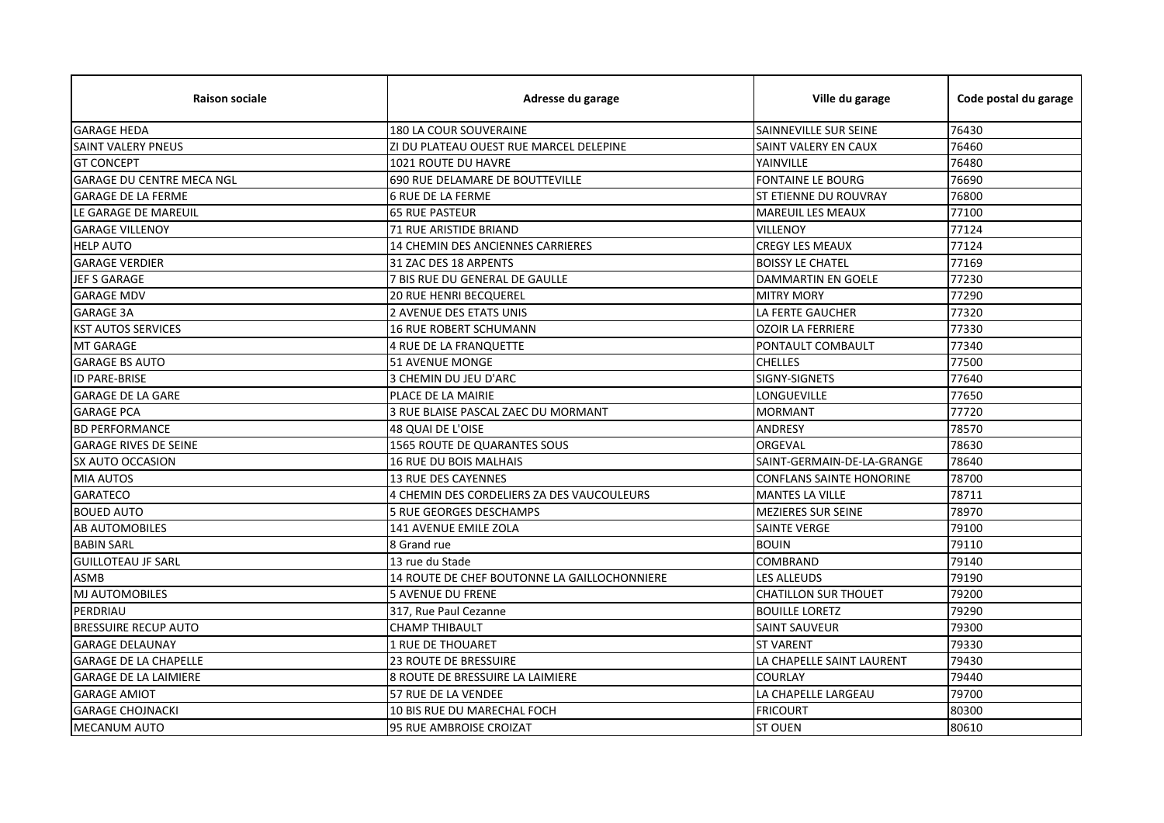| <b>Raison sociale</b>            | Adresse du garage                            | Ville du garage                 | Code postal du garage |
|----------------------------------|----------------------------------------------|---------------------------------|-----------------------|
| <b>GARAGE HEDA</b>               | <b>180 LA COUR SOUVERAINE</b>                | SAINNEVILLE SUR SEINE           | 76430                 |
| <b>SAINT VALERY PNEUS</b>        | ZI DU PLATEAU OUEST RUE MARCEL DELEPINE      | SAINT VALERY EN CAUX            | 76460                 |
| <b>GT CONCEPT</b>                | 1021 ROUTE DU HAVRE                          | YAINVILLE                       | 76480                 |
| <b>GARAGE DU CENTRE MECA NGL</b> | 690 RUE DELAMARE DE BOUTTEVILLE              | <b>FONTAINE LE BOURG</b>        | 76690                 |
| <b>GARAGE DE LA FERME</b>        | <b>6 RUE DE LA FERME</b>                     | <b>ST ETIENNE DU ROUVRAY</b>    | 76800                 |
| LE GARAGE DE MAREUIL             | <b>65 RUE PASTEUR</b>                        | <b>MAREUIL LES MEAUX</b>        | 77100                 |
| <b>GARAGE VILLENOY</b>           | 71 RUE ARISTIDE BRIAND                       | VILLENOY                        | 77124                 |
| <b>HELP AUTO</b>                 | 14 CHEMIN DES ANCIENNES CARRIERES            | <b>CREGY LES MEAUX</b>          | 77124                 |
| <b>GARAGE VERDIER</b>            | 31 ZAC DES 18 ARPENTS                        | <b>BOISSY LE CHATEL</b>         | 77169                 |
| JEF S GARAGE                     | 7 BIS RUE DU GENERAL DE GAULLE               | <b>DAMMARTIN EN GOELE</b>       | 77230                 |
| <b>GARAGE MDV</b>                | <b>20 RUE HENRI BECQUEREL</b>                | <b>MITRY MORY</b>               | 77290                 |
| <b>GARAGE 3A</b>                 | 2 AVENUE DES ETATS UNIS                      | LA FERTE GAUCHER                | 77320                 |
| <b>KST AUTOS SERVICES</b>        | <b>16 RUE ROBERT SCHUMANN</b>                | <b>OZOIR LA FERRIERE</b>        | 77330                 |
| MT GARAGE                        | <b>4 RUE DE LA FRANQUETTE</b>                | PONTAULT COMBAULT               | 77340                 |
| <b>GARAGE BS AUTO</b>            | <b>51 AVENUE MONGE</b>                       | <b>CHELLES</b>                  | 77500                 |
| <b>ID PARE-BRISE</b>             | 3 CHEMIN DU JEU D'ARC                        | SIGNY-SIGNETS                   | 77640                 |
| <b>GARAGE DE LA GARE</b>         | PLACE DE LA MAIRIE                           | LONGUEVILLE                     | 77650                 |
| <b>GARAGE PCA</b>                | 3 RUE BLAISE PASCAL ZAEC DU MORMANT          | <b>MORMANT</b>                  | 77720                 |
| <b>BD PERFORMANCE</b>            | 48 QUAI DE L'OISE                            | ANDRESY                         | 78570                 |
| <b>GARAGE RIVES DE SEINE</b>     | 1565 ROUTE DE QUARANTES SOUS                 | ORGEVAL                         | 78630                 |
| SX AUTO OCCASION                 | 16 RUE DU BOIS MALHAIS                       | SAINT-GERMAIN-DE-LA-GRANGE      | 78640                 |
| <b>MIA AUTOS</b>                 | <b>13 RUE DES CAYENNES</b>                   | <b>CONFLANS SAINTE HONORINE</b> | 78700                 |
| <b>GARATECO</b>                  | 4 CHEMIN DES CORDELIERS ZA DES VAUCOULEURS   | <b>MANTES LA VILLE</b>          | 78711                 |
| <b>BOUED AUTO</b>                | <b>5 RUE GEORGES DESCHAMPS</b>               | <b>MEZIERES SUR SEINE</b>       | 78970                 |
| <b>AB AUTOMOBILES</b>            | 141 AVENUE EMILE ZOLA                        | <b>SAINTE VERGE</b>             | 79100                 |
| <b>BABIN SARL</b>                | 8 Grand rue                                  | <b>BOUIN</b>                    | 79110                 |
| <b>GUILLOTEAU JF SARL</b>        | 13 rue du Stade                              | COMBRAND                        | 79140                 |
| <b>ASMB</b>                      | 14 ROUTE DE CHEF BOUTONNE LA GAILLOCHONNIERE | LES ALLEUDS                     | 79190                 |
| MJ AUTOMOBILES                   | <b>5 AVENUE DU FRENE</b>                     | <b>CHATILLON SUR THOUET</b>     | 79200                 |
| PERDRIAU                         | 317, Rue Paul Cezanne                        | <b>BOUILLE LORETZ</b>           | 79290                 |
| <b>BRESSUIRE RECUP AUTO</b>      | <b>CHAMP THIBAULT</b>                        | <b>SAINT SAUVEUR</b>            | 79300                 |
| <b>GARAGE DELAUNAY</b>           | <b>1 RUE DE THOUARET</b>                     | <b>ST VARENT</b>                | 79330                 |
| <b>GARAGE DE LA CHAPELLE</b>     | <b>23 ROUTE DE BRESSUIRE</b>                 | LA CHAPELLE SAINT LAURENT       | 79430                 |
| <b>GARAGE DE LA LAIMIERE</b>     | 8 ROUTE DE BRESSUIRE LA LAIMIERE             | <b>COURLAY</b>                  | 79440                 |
| <b>GARAGE AMIOT</b>              | 57 RUE DE LA VENDEE                          | LA CHAPELLE LARGEAU             | 79700                 |
| <b>GARAGE CHOJNACKI</b>          | 10 BIS RUE DU MARECHAL FOCH                  | <b>FRICOURT</b>                 | 80300                 |
| <b>MECANUM AUTO</b>              | <b>95 RUE AMBROISE CROIZAT</b>               | <b>ST OUEN</b>                  | 80610                 |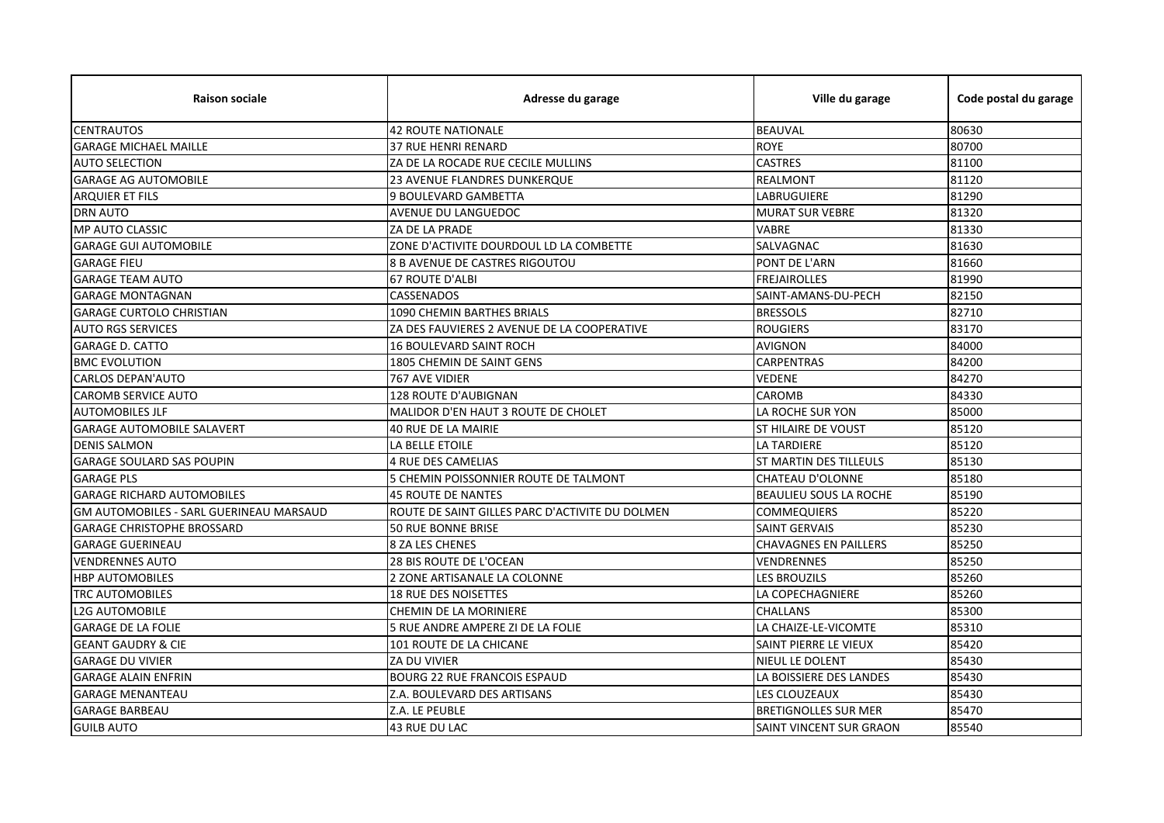| <b>Raison sociale</b>                   | Adresse du garage                               | Ville du garage                | Code postal du garage |
|-----------------------------------------|-------------------------------------------------|--------------------------------|-----------------------|
| <b>CENTRAUTOS</b>                       | <b>42 ROUTE NATIONALE</b>                       | <b>BEAUVAL</b>                 | 80630                 |
| <b>GARAGE MICHAEL MAILLE</b>            | 37 RUE HENRI RENARD                             | <b>ROYE</b>                    | 80700                 |
| <b>AUTO SELECTION</b>                   | ZA DE LA ROCADE RUE CECILE MULLINS              | <b>CASTRES</b>                 | 81100                 |
| <b>GARAGE AG AUTOMOBILE</b>             | <b>23 AVENUE FLANDRES DUNKERQUE</b>             | <b>REALMONT</b>                | 81120                 |
| <b>ARQUIER ET FILS</b>                  | 9 BOULEVARD GAMBETTA                            | LABRUGUIERE                    | 81290                 |
| <b>DRN AUTO</b>                         | AVENUE DU LANGUEDOC                             | <b>MURAT SUR VEBRE</b>         | 81320                 |
| MP AUTO CLASSIC                         | ZA DE LA PRADE                                  | <b>VABRE</b>                   | 81330                 |
| <b>GARAGE GUI AUTOMOBILE</b>            | ZONE D'ACTIVITE DOURDOUL LD LA COMBETTE         | SALVAGNAC                      | 81630                 |
| <b>GARAGE FIEU</b>                      | 8 B AVENUE DE CASTRES RIGOUTOU                  | PONT DE L'ARN                  | 81660                 |
| <b>GARAGE TEAM AUTO</b>                 | <b>67 ROUTE D'ALBI</b>                          | <b>FREJAIROLLES</b>            | 81990                 |
| <b>GARAGE MONTAGNAN</b>                 | <b>CASSENADOS</b>                               | SAINT-AMANS-DU-PECH            | 82150                 |
| <b>GARAGE CURTOLO CHRISTIAN</b>         | 1090 CHEMIN BARTHES BRIALS                      | <b>BRESSOLS</b>                | 82710                 |
| <b>AUTO RGS SERVICES</b>                | ZA DES FAUVIERES 2 AVENUE DE LA COOPERATIVE     | <b>ROUGIERS</b>                | 83170                 |
| <b>GARAGE D. CATTO</b>                  | <b>16 BOULEVARD SAINT ROCH</b>                  | <b>AVIGNON</b>                 | 84000                 |
| <b>BMC EVOLUTION</b>                    | 1805 CHEMIN DE SAINT GENS                       | <b>CARPENTRAS</b>              | 84200                 |
| CARLOS DEPAN'AUTO                       | 767 AVE VIDIER                                  | <b>VEDENE</b>                  | 84270                 |
| <b>CAROMB SERVICE AUTO</b>              | 128 ROUTE D'AUBIGNAN                            | CAROMB                         | 84330                 |
| <b>AUTOMOBILES JLF</b>                  | MALIDOR D'EN HAUT 3 ROUTE DE CHOLET             | LA ROCHE SUR YON               | 85000                 |
| <b>GARAGE AUTOMOBILE SALAVERT</b>       | <b>40 RUE DE LA MAIRIE</b>                      | <b>ST HILAIRE DE VOUST</b>     | 85120                 |
| <b>DENIS SALMON</b>                     | LA BELLE ETOILE                                 | LA TARDIERE                    | 85120                 |
| <b>GARAGE SOULARD SAS POUPIN</b>        | <b>4 RUE DES CAMELIAS</b>                       | ST MARTIN DES TILLEULS         | 85130                 |
| <b>GARAGE PLS</b>                       | 5 CHEMIN POISSONNIER ROUTE DE TALMONT           | <b>CHATEAU D'OLONNE</b>        | 85180                 |
| <b>GARAGE RICHARD AUTOMOBILES</b>       | 45 ROUTE DE NANTES                              | <b>BEAULIEU SOUS LA ROCHE</b>  | 85190                 |
| GM AUTOMOBILES - SARL GUERINEAU MARSAUD | ROUTE DE SAINT GILLES PARC D'ACTIVITE DU DOLMEN | <b>COMMEQUIERS</b>             | 85220                 |
| <b>GARAGE CHRISTOPHE BROSSARD</b>       | 50 RUE BONNE BRISE                              | <b>SAINT GERVAIS</b>           | 85230                 |
| <b>GARAGE GUERINEAU</b>                 | <b>8 ZA LES CHENES</b>                          | <b>CHAVAGNES EN PAILLERS</b>   | 85250                 |
| <b>VENDRENNES AUTO</b>                  | 28 BIS ROUTE DE L'OCEAN                         | VENDRENNES                     | 85250                 |
| <b>HBP AUTOMOBILES</b>                  | 2 ZONE ARTISANALE LA COLONNE                    | <b>LES BROUZILS</b>            | 85260                 |
| <b>TRC AUTOMOBILES</b>                  | 18 RUE DES NOISETTES                            | LA COPECHAGNIERE               | 85260                 |
| <b>L2G AUTOMOBILE</b>                   | CHEMIN DE LA MORINIERE                          | <b>CHALLANS</b>                | 85300                 |
| <b>GARAGE DE LA FOLIE</b>               | 5 RUE ANDRE AMPERE ZI DE LA FOLIE               | LA CHAIZE-LE-VICOMTE           | 85310                 |
| <b>GEANT GAUDRY &amp; CIE</b>           | 101 ROUTE DE LA CHICANE                         | SAINT PIERRE LE VIEUX          | 85420                 |
| <b>GARAGE DU VIVIER</b>                 | ZA DU VIVIER                                    | NIEUL LE DOLENT                | 85430                 |
| <b>GARAGE ALAIN ENFRIN</b>              | <b>BOURG 22 RUE FRANCOIS ESPAUD</b>             | LA BOISSIERE DES LANDES        | 85430                 |
| <b>GARAGE MENANTEAU</b>                 | Z.A. BOULEVARD DES ARTISANS                     | LES CLOUZEAUX                  | 85430                 |
| <b>GARAGE BARBEAU</b>                   | Z.A. LE PEUBLE                                  | <b>BRETIGNOLLES SUR MER</b>    | 85470                 |
| <b>GUILB AUTO</b>                       | 43 RUE DU LAC                                   | <b>SAINT VINCENT SUR GRAON</b> | 85540                 |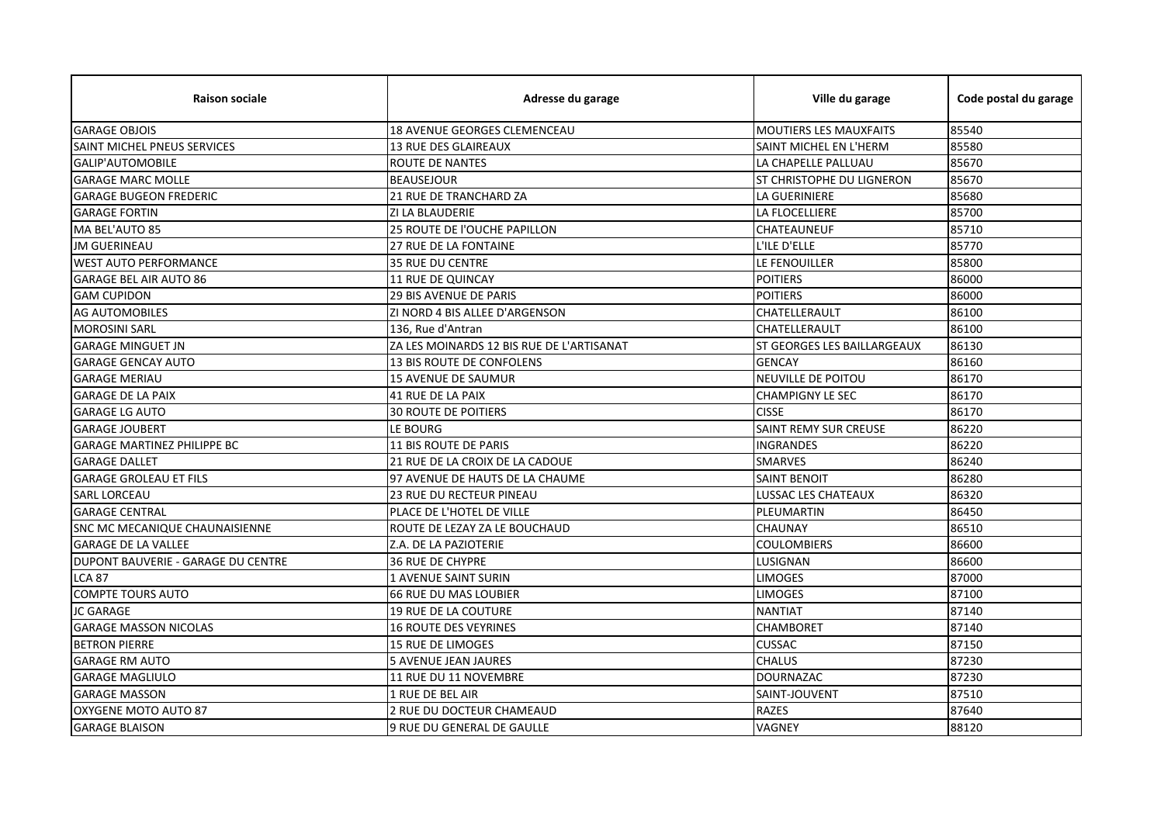| <b>Raison sociale</b>              | Adresse du garage                         | Ville du garage                    | Code postal du garage |
|------------------------------------|-------------------------------------------|------------------------------------|-----------------------|
| <b>GARAGE OBJOIS</b>               | 18 AVENUE GEORGES CLEMENCEAU              | <b>MOUTIERS LES MAUXFAITS</b>      | 85540                 |
| <b>SAINT MICHEL PNEUS SERVICES</b> | <b>13 RUE DES GLAIREAUX</b>               | SAINT MICHEL EN L'HERM             | 85580                 |
| <b>GALIP'AUTOMOBILE</b>            | ROUTE DE NANTES                           | LA CHAPELLE PALLUAU                | 85670                 |
| <b>GARAGE MARC MOLLE</b>           | <b>BEAUSEJOUR</b>                         | <b>ST CHRISTOPHE DU LIGNERON</b>   | 85670                 |
| <b>GARAGE BUGEON FREDERIC</b>      | 21 RUE DE TRANCHARD ZA                    | <b>LA GUERINIERE</b>               | 85680                 |
| <b>GARAGE FORTIN</b>               | ZI LA BLAUDERIE                           | LA FLOCELLIERE                     | 85700                 |
| MA BEL'AUTO 85                     | 25 ROUTE DE l'OUCHE PAPILLON              | <b>CHATEAUNEUF</b>                 | 85710                 |
| <b>JM GUERINEAU</b>                | 27 RUE DE LA FONTAINE                     | L'ILE D'ELLE                       | 85770                 |
| <b>WEST AUTO PERFORMANCE</b>       | <b>35 RUE DU CENTRE</b>                   | LE FENOUILLER                      | 85800                 |
| <b>GARAGE BEL AIR AUTO 86</b>      | 11 RUE DE QUINCAY                         | <b>POITIERS</b>                    | 86000                 |
| <b>GAM CUPIDON</b>                 | <b>29 BIS AVENUE DE PARIS</b>             | <b>POITIERS</b>                    | 86000                 |
| <b>AG AUTOMOBILES</b>              | ZI NORD 4 BIS ALLEE D'ARGENSON            | CHATELLERAULT                      | 86100                 |
| <b>MOROSINI SARL</b>               | 136, Rue d'Antran                         | CHATELLERAULT                      | 86100                 |
| <b>GARAGE MINGUET JN</b>           | ZA LES MOINARDS 12 BIS RUE DE L'ARTISANAT | <b>ST GEORGES LES BAILLARGEAUX</b> | 86130                 |
| <b>GARAGE GENCAY AUTO</b>          | <b>13 BIS ROUTE DE CONFOLENS</b>          | <b>GENCAY</b>                      | 86160                 |
| <b>GARAGE MERIAU</b>               | <b>15 AVENUE DE SAUMUR</b>                | NEUVILLE DE POITOU                 | 86170                 |
| <b>GARAGE DE LA PAIX</b>           | <b>41 RUE DE LA PAIX</b>                  | <b>CHAMPIGNY LE SEC</b>            | 86170                 |
| <b>GARAGE LG AUTO</b>              | <b>30 ROUTE DE POITIERS</b>               | <b>CISSE</b>                       | 86170                 |
| <b>GARAGE JOUBERT</b>              | LE BOURG                                  | SAINT REMY SUR CREUSE              | 86220                 |
| <b>GARAGE MARTINEZ PHILIPPE BC</b> | <b>11 BIS ROUTE DE PARIS</b>              | <b>INGRANDES</b>                   | 86220                 |
| <b>GARAGE DALLET</b>               | 21 RUE DE LA CROIX DE LA CADOUE           | <b>SMARVES</b>                     | 86240                 |
| <b>GARAGE GROLEAU ET FILS</b>      | 97 AVENUE DE HAUTS DE LA CHAUME           | <b>SAINT BENOIT</b>                | 86280                 |
| <b>SARL LORCEAU</b>                | 23 RUE DU RECTEUR PINEAU                  | LUSSAC LES CHATEAUX                | 86320                 |
| <b>GARAGE CENTRAL</b>              | PLACE DE L'HOTEL DE VILLE                 | PLEUMARTIN                         | 86450                 |
| SNC MC MECANIQUE CHAUNAISIENNE     | ROUTE DE LEZAY ZA LE BOUCHAUD             | <b>CHAUNAY</b>                     | 86510                 |
| <b>GARAGE DE LA VALLEE</b>         | Z.A. DE LA PAZIOTERIE                     | <b>COULOMBIERS</b>                 | 86600                 |
| DUPONT BAUVERIE - GARAGE DU CENTRE | <b>36 RUE DE CHYPRE</b>                   | LUSIGNAN                           | 86600                 |
| <b>LCA 87</b>                      | 1 AVENUE SAINT SURIN                      | <b>LIMOGES</b>                     | 87000                 |
| <b>COMPTE TOURS AUTO</b>           | <b>66 RUE DU MAS LOUBIER</b>              | <b>LIMOGES</b>                     | 87100                 |
| <b>JC GARAGE</b>                   | <b>19 RUE DE LA COUTURE</b>               | <b>NANTIAT</b>                     | 87140                 |
| <b>GARAGE MASSON NICOLAS</b>       | <b>16 ROUTE DES VEYRINES</b>              | <b>CHAMBORET</b>                   | 87140                 |
| <b>BETRON PIERRE</b>               | <b>15 RUE DE LIMOGES</b>                  | <b>CUSSAC</b>                      | 87150                 |
| <b>GARAGE RM AUTO</b>              | <b>5 AVENUE JEAN JAURES</b>               | <b>CHALUS</b>                      | 87230                 |
| <b>GARAGE MAGLIULO</b>             | 11 RUE DU 11 NOVEMBRE                     | <b>DOURNAZAC</b>                   | 87230                 |
| <b>GARAGE MASSON</b>               | 1 RUE DE BEL AIR                          | SAINT-JOUVENT                      | 87510                 |
| OXYGENE MOTO AUTO 87               | 2 RUE DU DOCTEUR CHAMEAUD                 | <b>RAZES</b>                       | 87640                 |
| <b>GARAGE BLAISON</b>              | 9 RUE DU GENERAL DE GAULLE                | VAGNEY                             | 88120                 |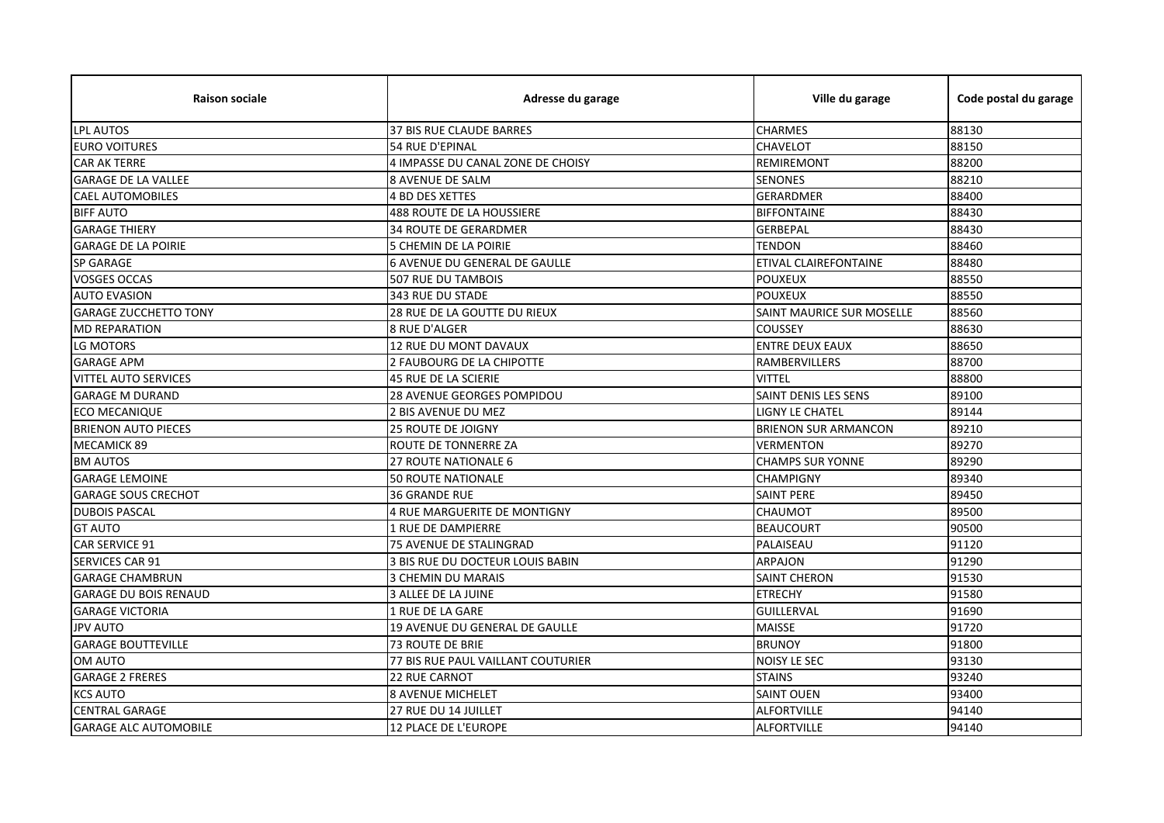| <b>Raison sociale</b>        | Adresse du garage                    | Ville du garage             | Code postal du garage |
|------------------------------|--------------------------------------|-----------------------------|-----------------------|
| <b>LPL AUTOS</b>             | 37 BIS RUE CLAUDE BARRES             | <b>CHARMES</b>              | 88130                 |
| <b>EURO VOITURES</b>         | 54 RUE D'EPINAL                      | <b>CHAVELOT</b>             | 88150                 |
| <b>CAR AK TERRE</b>          | 4 IMPASSE DU CANAL ZONE DE CHOISY    | <b>REMIREMONT</b>           | 88200                 |
| <b>GARAGE DE LA VALLEE</b>   | <b>8 AVENUE DE SALM</b>              | <b>SENONES</b>              | 88210                 |
| <b>CAEL AUTOMOBILES</b>      | 4 BD DES XETTES                      | <b>GERARDMER</b>            | 88400                 |
| <b>BIFF AUTO</b>             | 488 ROUTE DE LA HOUSSIERE            | <b>BIFFONTAINE</b>          | 88430                 |
| <b>GARAGE THIERY</b>         | <b>34 ROUTE DE GERARDMER</b>         | <b>GERBEPAL</b>             | 88430                 |
| <b>GARAGE DE LA POIRIE</b>   | 5 CHEMIN DE LA POIRIE                | <b>TENDON</b>               | 88460                 |
| <b>SP GARAGE</b>             | <b>6 AVENUE DU GENERAL DE GAULLE</b> | ETIVAL CLAIREFONTAINE       | 88480                 |
| <b>VOSGES OCCAS</b>          | 507 RUE DU TAMBOIS                   | <b>POUXEUX</b>              | 88550                 |
| <b>AUTO EVASION</b>          | 343 RUE DU STADE                     | <b>POUXEUX</b>              | 88550                 |
| <b>GARAGE ZUCCHETTO TONY</b> | 28 RUE DE LA GOUTTE DU RIEUX         | SAINT MAURICE SUR MOSELLE   | 88560                 |
| <b>MD REPARATION</b>         | 8 RUE D'ALGER                        | <b>COUSSEY</b>              | 88630                 |
| LG MOTORS                    | 12 RUE DU MONT DAVAUX                | <b>ENTRE DEUX EAUX</b>      | 88650                 |
| <b>GARAGE APM</b>            | 2 FAUBOURG DE LA CHIPOTTE            | <b>RAMBERVILLERS</b>        | 88700                 |
| <b>VITTEL AUTO SERVICES</b>  | 45 RUE DE LA SCIERIE                 | <b>VITTEL</b>               | 88800                 |
| <b>GARAGE M DURAND</b>       | <b>28 AVENUE GEORGES POMPIDOU</b>    | SAINT DENIS LES SENS        | 89100                 |
| <b>ECO MECANIQUE</b>         | 2 BIS AVENUE DU MEZ                  | LIGNY LE CHATEL             | 89144                 |
| <b>BRIENON AUTO PIECES</b>   | <b>25 ROUTE DE JOIGNY</b>            | <b>BRIENON SUR ARMANCON</b> | 89210                 |
| <b>MECAMICK 89</b>           | ROUTE DE TONNERRE ZA                 | <b>VERMENTON</b>            | 89270                 |
| <b>BM AUTOS</b>              | 27 ROUTE NATIONALE 6                 | <b>CHAMPS SUR YONNE</b>     | 89290                 |
| <b>GARAGE LEMOINE</b>        | <b>50 ROUTE NATIONALE</b>            | <b>CHAMPIGNY</b>            | 89340                 |
| <b>GARAGE SOUS CRECHOT</b>   | <b>36 GRANDE RUE</b>                 | <b>SAINT PERE</b>           | 89450                 |
| <b>DUBOIS PASCAL</b>         | 4 RUE MARGUERITE DE MONTIGNY         | <b>CHAUMOT</b>              | 89500                 |
| <b>GT AUTO</b>               | <b>1 RUE DE DAMPIERRE</b>            | <b>BEAUCOURT</b>            | 90500                 |
| <b>CAR SERVICE 91</b>        | 75 AVENUE DE STALINGRAD              | PALAISEAU                   | 91120                 |
| SERVICES CAR 91              | 3 BIS RUE DU DOCTEUR LOUIS BABIN     | ARPAJON                     | 91290                 |
| <b>GARAGE CHAMBRUN</b>       | 3 CHEMIN DU MARAIS                   | <b>SAINT CHERON</b>         | 91530                 |
| <b>GARAGE DU BOIS RENAUD</b> | 3 ALLEE DE LA JUINE                  | <b>ETRECHY</b>              | 91580                 |
| <b>GARAGE VICTORIA</b>       | 1 RUE DE LA GARE                     | <b>GUILLERVAL</b>           | 91690                 |
| <b>JPV AUTO</b>              | 19 AVENUE DU GENERAL DE GAULLE       | <b>MAISSE</b>               | 91720                 |
| <b>GARAGE BOUTTEVILLE</b>    | <b>73 ROUTE DE BRIE</b>              | <b>BRUNOY</b>               | 91800                 |
| OM AUTO                      | 77 BIS RUE PAUL VAILLANT COUTURIER   | <b>NOISY LE SEC</b>         | 93130                 |
| <b>GARAGE 2 FRERES</b>       | <b>22 RUE CARNOT</b>                 | <b>STAINS</b>               | 93240                 |
| <b>KCS AUTO</b>              | <b>8 AVENUE MICHELET</b>             | <b>SAINT OUEN</b>           | 93400                 |
| <b>CENTRAL GARAGE</b>        | 27 RUE DU 14 JUILLET                 | <b>ALFORTVILLE</b>          | 94140                 |
| <b>GARAGE ALC AUTOMOBILE</b> | <b>12 PLACE DE L'EUROPE</b>          | <b>ALFORTVILLE</b>          | 94140                 |